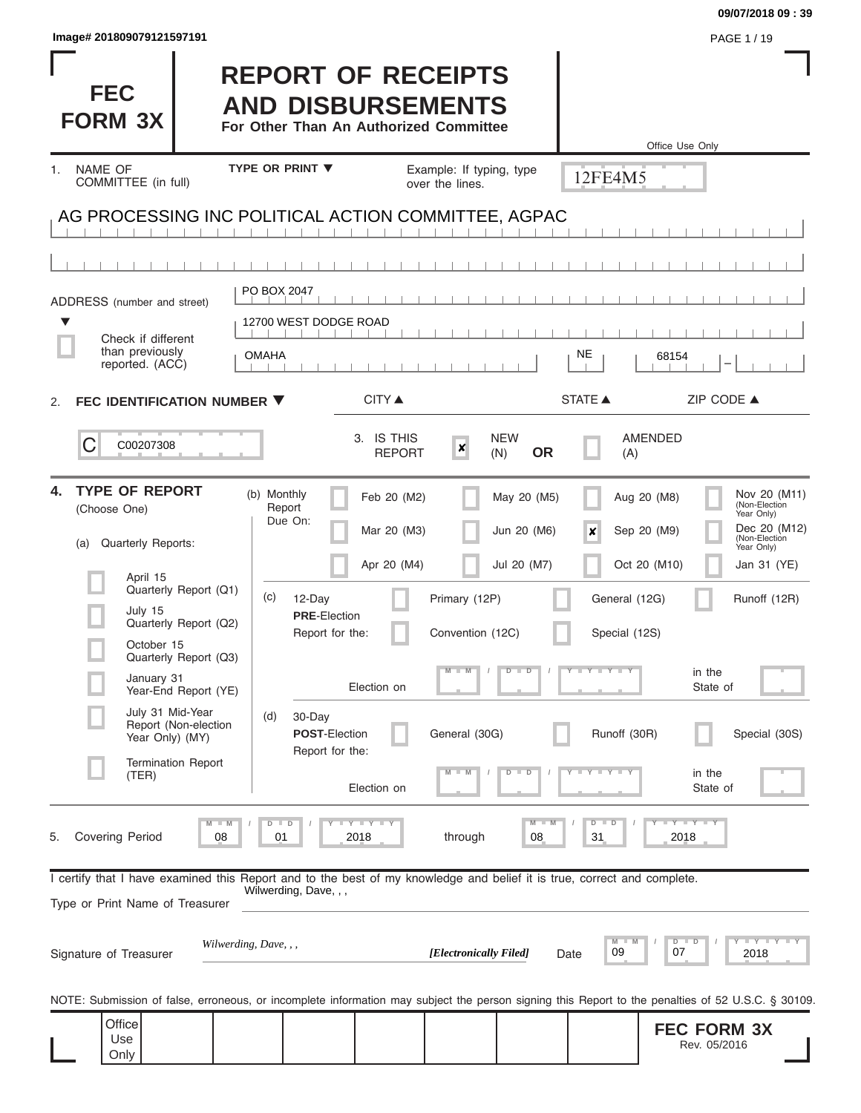| lmage#201809079121597191                                                                                                                                   |                                                                                                 |                                   |                                           |                                | PAGE 1 / 19                                                                                                                                             |
|------------------------------------------------------------------------------------------------------------------------------------------------------------|-------------------------------------------------------------------------------------------------|-----------------------------------|-------------------------------------------|--------------------------------|---------------------------------------------------------------------------------------------------------------------------------------------------------|
| <b>FEC</b><br><b>FORM 3X</b>                                                                                                                               | <b>REPORT OF RECEIPTS</b><br><b>AND DISBURSEMENTS</b><br>For Other Than An Authorized Committee |                                   |                                           |                                | Office Use Only                                                                                                                                         |
| NAME OF<br>1 <sup>1</sup>                                                                                                                                  | <b>TYPE OR PRINT ▼</b>                                                                          | Example: If typing, type          |                                           |                                |                                                                                                                                                         |
| COMMITTEE (in full)                                                                                                                                        |                                                                                                 | over the lines.                   |                                           | 12FE4M5                        |                                                                                                                                                         |
| AG PROCESSING INC POLITICAL ACTION COMMITTEE, AGPAC                                                                                                        |                                                                                                 |                                   |                                           |                                |                                                                                                                                                         |
|                                                                                                                                                            |                                                                                                 |                                   |                                           |                                |                                                                                                                                                         |
| ADDRESS (number and street)                                                                                                                                | PO BOX 2047                                                                                     |                                   |                                           |                                |                                                                                                                                                         |
| Check if different                                                                                                                                         | 12700 WEST DODGE ROAD                                                                           |                                   |                                           |                                |                                                                                                                                                         |
| than previously<br>reported. (ACC)                                                                                                                         | <b>OMAHA</b>                                                                                    |                                   |                                           | NE                             | 68154                                                                                                                                                   |
| FEC IDENTIFICATION NUMBER ▼<br>2.                                                                                                                          | <b>CITY</b> ▲                                                                                   |                                   |                                           | STATE A                        | ZIP CODE ▲                                                                                                                                              |
| С<br>C00207308                                                                                                                                             | 3. IS THIS<br><b>REPORT</b>                                                                     | $\boldsymbol{x}$                  | <b>NEW</b><br><b>OR</b><br>(N)            | (A)                            | <b>AMENDED</b>                                                                                                                                          |
| <b>TYPE OF REPORT</b><br>4.<br>(Choose One)<br>Quarterly Reports:<br>(a)<br>April 15                                                                       | (b) Monthly<br>Feb 20 (M2)<br>Report<br>Due On:<br>Mar 20 (M3)<br>Apr 20 (M4)                   |                                   | May 20 (M5)<br>Jun 20 (M6)<br>Jul 20 (M7) | ×                              | Nov 20 (M11)<br>Aug 20 (M8)<br>(Non-Election<br>Year Only)<br>Dec 20 (M12)<br>Sep 20 (M9)<br>(Non-Election<br>Year Only)<br>Oct 20 (M10)<br>Jan 31 (YE) |
| Quarterly Report (Q1)<br>July 15<br>Quarterly Report (Q2)<br>October 15                                                                                    | (c)<br>12-Day<br><b>PRE-Election</b><br>Report for the:                                         | Primary (12P)<br>Convention (12C) |                                           | General (12G)<br>Special (12S) | Runoff (12R)                                                                                                                                            |
| Quarterly Report (Q3)<br>January 31<br>Year-End Report (YE)                                                                                                | Election on                                                                                     | $\overline{\mathsf{M}}$<br>$-M$   | $D$ $D$                                   | $T$ $Y$ $T$ $Y$ $T$            | in the<br>State of                                                                                                                                      |
| July 31 Mid-Year<br>Report (Non-election<br>Year Only) (MY)                                                                                                | (d)<br>30-Day<br><b>POST-Election</b><br>Report for the:                                        | General (30G)                     |                                           | Runoff (30R)                   | Special (30S)                                                                                                                                           |
| <b>Termination Report</b><br>(TER)                                                                                                                         | Election on                                                                                     |                                   | $\overline{D}$                            | $\overline{\mathbf{y}}$        | in the<br>State of                                                                                                                                      |
| M<br><b>Covering Period</b><br>08<br>5.                                                                                                                    | $D$ $D$<br>Y I Y I Y<br>01<br>2018                                                              | through                           | $M - M$<br>08                             | $D$ $D$<br>31                  | $Y - Y - Y$<br>2018                                                                                                                                     |
| I certify that I have examined this Report and to the best of my knowledge and belief it is true, correct and complete.<br>Type or Print Name of Treasurer | Wilwerding, Dave, , ,                                                                           |                                   |                                           |                                |                                                                                                                                                         |
| Signature of Treasurer                                                                                                                                     | Wilwerding, Dave, , ,                                                                           | [Electronically Filed]            | Date                                      | M<br>$-M$<br>09                | <b>LEYTEY LE</b><br>$D$ $D$<br>07<br>2018                                                                                                               |
| NOTE: Submission of false, erroneous, or incomplete information may subject the person signing this Report to the penalties of 52 U.S.C. § 30109.          |                                                                                                 |                                   |                                           |                                |                                                                                                                                                         |
| Office<br>Use<br>Only                                                                                                                                      |                                                                                                 |                                   |                                           |                                | <b>FEC FORM 3X</b><br>Rev. 05/2016                                                                                                                      |

**09/07/2018 09 : 39**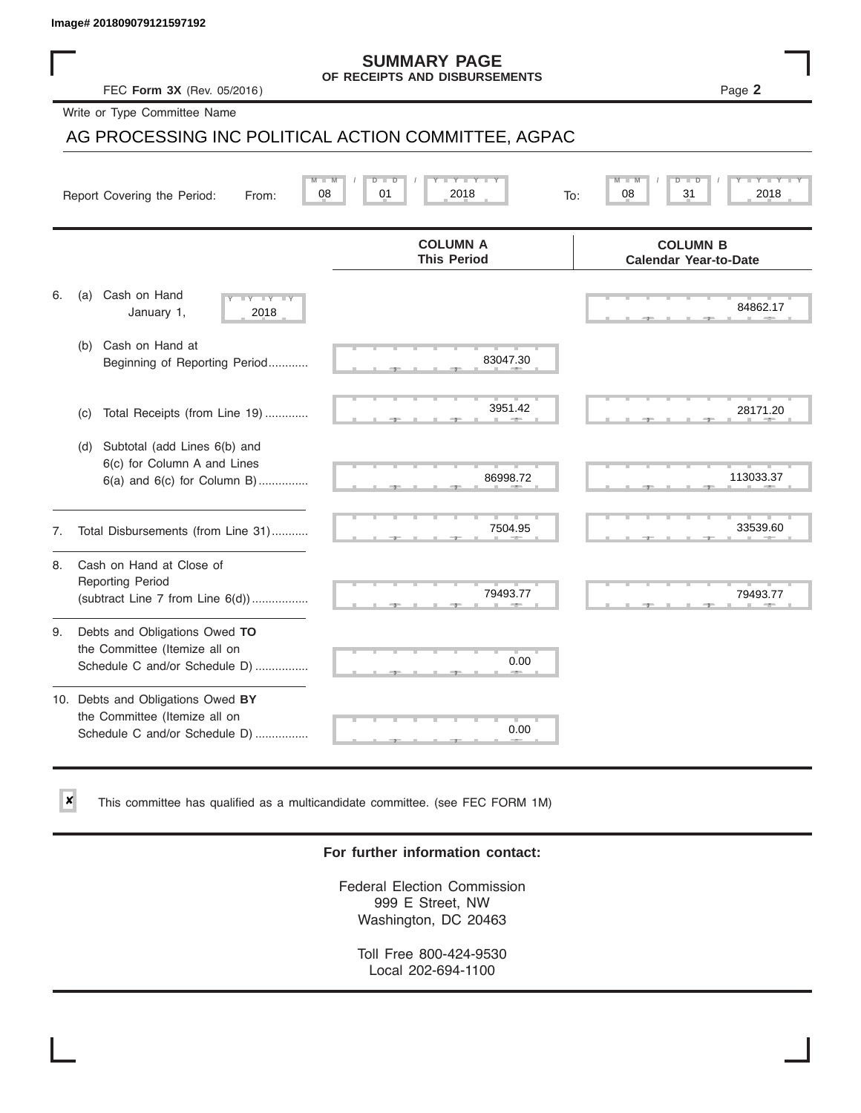✘

#### **SUMMARY PAGE OF RECEIPTS AND DISBURSEMENTS**

## AG PROCESSING INC POLITICAL ACTION COMMITTEE, AGPAC

|    | Image# 201809079121597192                                                                             |                                                      |                                                 |
|----|-------------------------------------------------------------------------------------------------------|------------------------------------------------------|-------------------------------------------------|
|    | FEC Form 3X (Rev. 05/2016)                                                                            | <b>SUMMARY PAGE</b><br>OF RECEIPTS AND DISBURSEMENTS | Page 2                                          |
|    | Write or Type Committee Name                                                                          |                                                      |                                                 |
|    | AG PROCESSING INC POLITICAL ACTION COMMITTEE, AGPAC                                                   |                                                      |                                                 |
|    | 08<br>Report Covering the Period:<br>From:                                                            | 2018<br>01<br>To:                                    | 31<br>2018<br>08                                |
|    |                                                                                                       | <b>COLUMN A</b><br><b>This Period</b>                | <b>COLUMN B</b><br><b>Calendar Year-to-Date</b> |
| 6. | Cash on Hand<br>(a)<br>$-Y - Y - IY$<br>January 1,<br>2018                                            |                                                      | 84862.17                                        |
|    | Cash on Hand at<br>(b)<br>Beginning of Reporting Period                                               | 83047.30                                             |                                                 |
|    | Total Receipts (from Line 19)<br>(c)                                                                  | 3951.42                                              | 28171.20                                        |
|    | Subtotal (add Lines 6(b) and<br>(d)<br>6(c) for Column A and Lines<br>$6(a)$ and $6(c)$ for Column B) | 86998.72                                             | 113033.37                                       |
| 7. | Total Disbursements (from Line 31)                                                                    | 7504.95                                              | 33539.60                                        |
| 8. | Cash on Hand at Close of<br><b>Reporting Period</b><br>(subtract Line $7$ from Line $6(d)$ )          | 79493.77                                             | 79493.77                                        |
| 9. | Debts and Obligations Owed TO<br>the Committee (Itemize all on<br>Schedule C and/or Schedule D)       | 0.00                                                 |                                                 |
|    | 10. Debts and Obligations Owed BY<br>the Committee (Itemize all on<br>Schedule C and/or Schedule D)   | т<br>0.00                                            |                                                 |

This committee has qualified as a multicandidate committee. (see FEC FORM 1M)

### **For further information contact:**

Federal Election Commission 999 E Street, NW Washington, DC 20463

Toll Free 800-424-9530 Local 202-694-1100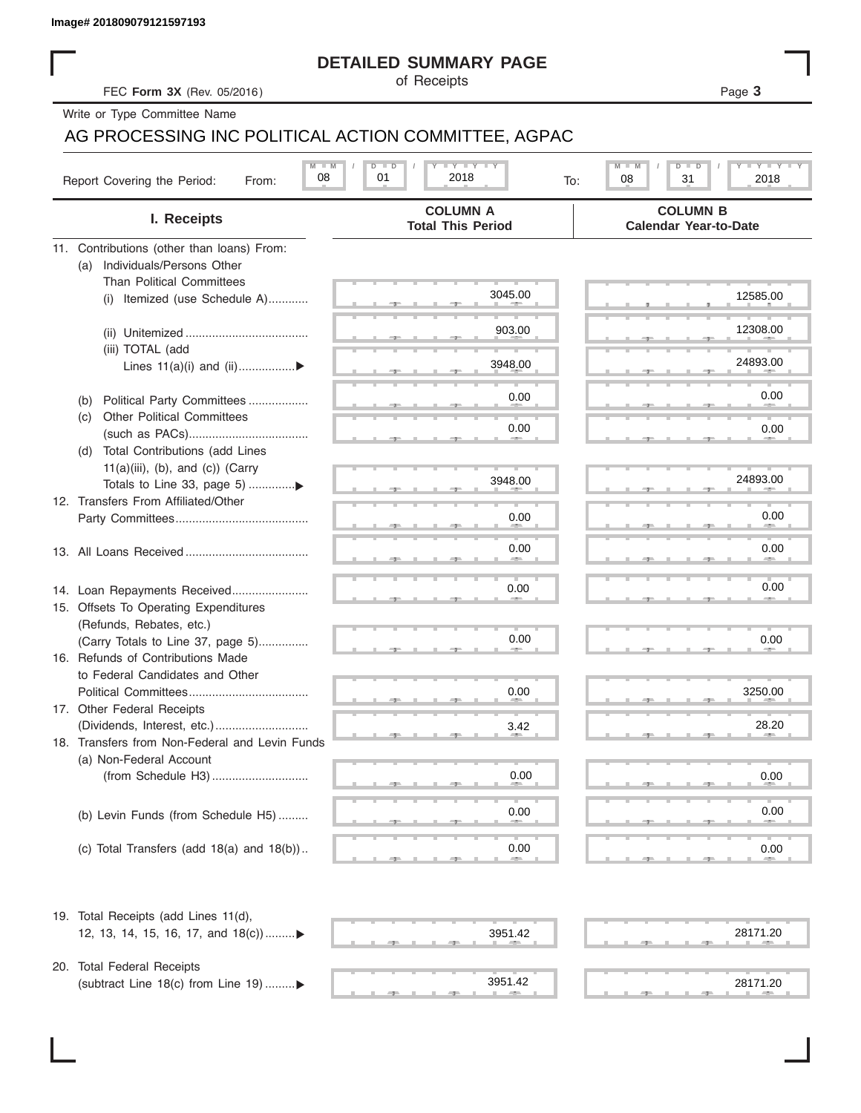| Image# 201809079121597193 |  |  |  |
|---------------------------|--|--|--|
|                           |  |  |  |

### **DETAILED SUMMARY PAGE**

### AG PROCESSING INC POLITICAL ACTION COMMITTEE, AGPAC

|                                                       | <b>DETAILED SUMMARY PAGE</b>                            |                                                 |
|-------------------------------------------------------|---------------------------------------------------------|-------------------------------------------------|
| FEC Form 3X (Rev. 05/2016)                            | of Receipts                                             | Page 3                                          |
| Write or Type Committee Name                          |                                                         |                                                 |
| AG PROCESSING INC POLITICAL ACTION COMMITTEE, AGPAC   |                                                         |                                                 |
| $M - M$<br>08<br>Report Covering the Period:<br>From: | $I - Y - I - Y - I - Y$<br>$D$ $D$<br>01<br>2018<br>To: | <b>LYLYLY</b><br>M<br>D<br>08<br>31<br>2018     |
| I. Receipts                                           | <b>COLUMN A</b><br><b>Total This Period</b>             | <b>COLUMN B</b><br><b>Calendar Year-to-Date</b> |
| 11. Contributions (other than loans) From:            |                                                         |                                                 |
| Individuals/Persons Other<br>(a)                      |                                                         |                                                 |
| <b>Than Political Committees</b>                      | 3045.00                                                 | 12585.00                                        |
| (i) Itemized (use Schedule A)                         |                                                         |                                                 |
|                                                       | 903.00                                                  | 12308.00                                        |
| (iii) TOTAL (add                                      |                                                         |                                                 |
| Lines 11(a)(i) and (ii)▶                              | 3948.00                                                 | 24893.00                                        |
|                                                       |                                                         |                                                 |
| Political Party Committees<br>(b)                     | 0.00                                                    | 0.00                                            |
| <b>Other Political Committees</b><br>(C)              |                                                         |                                                 |
|                                                       | 0.00                                                    | 0.00                                            |
| Total Contributions (add Lines<br>(d)                 |                                                         |                                                 |
| $11(a)(iii)$ , (b), and (c)) (Carry                   | 3948.00                                                 | 24893.00                                        |
|                                                       |                                                         |                                                 |
| 12. Transfers From Affiliated/Other                   | 0.00                                                    | 0.00                                            |
|                                                       |                                                         |                                                 |
|                                                       | 0.00                                                    | 0.00                                            |
|                                                       |                                                         |                                                 |
| 14. Loan Repayments Received                          | 0.00                                                    | 0.00                                            |
| 15. Offsets To Operating Expenditures                 |                                                         |                                                 |
| (Refunds, Rebates, etc.)                              |                                                         |                                                 |
| (Carry Totals to Line 37, page 5)                     | 0.00                                                    | 0.00                                            |
| 16. Refunds of Contributions Made                     |                                                         |                                                 |
| to Federal Candidates and Other                       |                                                         |                                                 |
| Political Committees                                  | 0.00                                                    | 3250.00                                         |
| 17. Other Federal Receipts                            |                                                         |                                                 |
|                                                       | 3.42                                                    | 28.20                                           |
| 18. Transfers from Non-Federal and Levin Funds        |                                                         |                                                 |
| (a) Non-Federal Account                               |                                                         |                                                 |
|                                                       | 0.00                                                    | 0.00                                            |
|                                                       |                                                         |                                                 |
| (b) Levin Funds (from Schedule H5)                    | 0.00                                                    | 0.00                                            |
|                                                       |                                                         |                                                 |
| (c) Total Transfers (add $18(a)$ and $18(b)$ )        | 0.00                                                    | 0.00                                            |
| 19. Total Receipts (add Lines 11(d),                  |                                                         |                                                 |
| 12, 13, 14, 15, 16, 17, and $18(c)$                   | 3951.42                                                 | 28171.20                                        |
|                                                       |                                                         |                                                 |
| 20. Total Federal Receipts                            | 3951.42                                                 | 28171.20                                        |
| (subtract Line 18(c) from Line 19) ▶                  | <b>ARCHITECT</b>                                        |                                                 |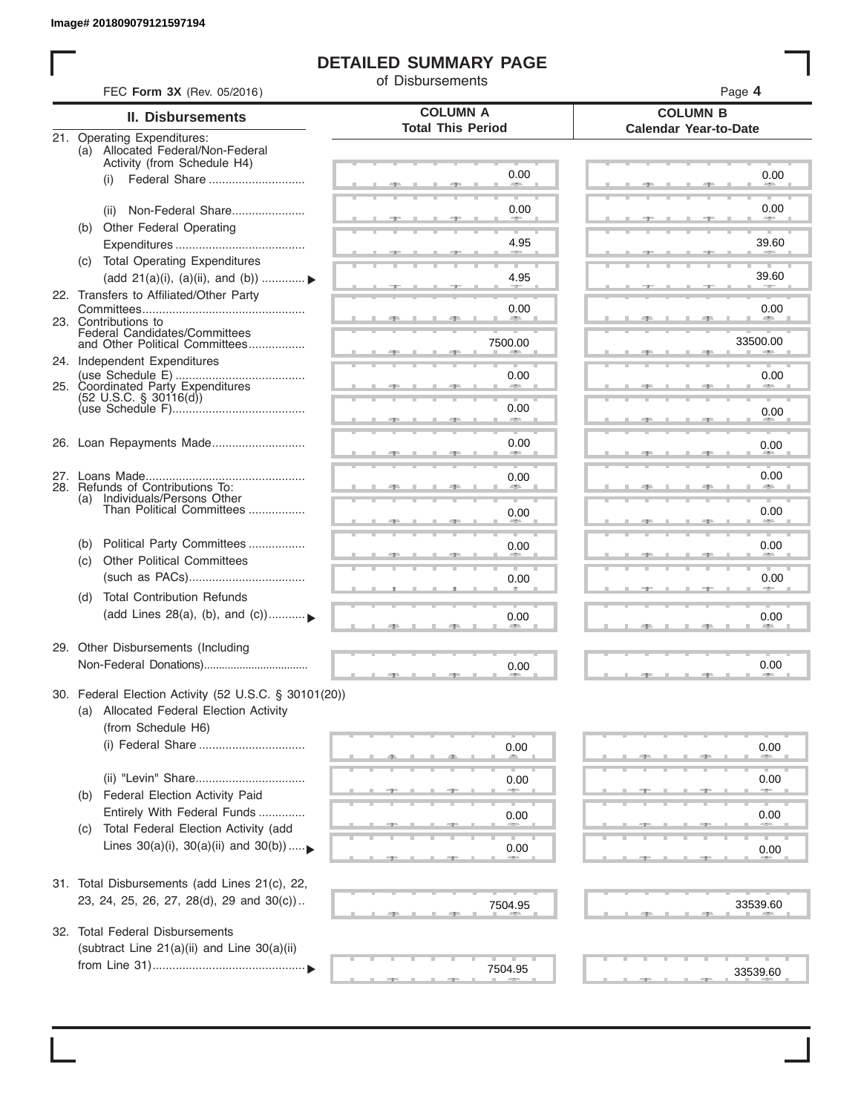ı

### **DETAILED SUMMARY PAGE**

of Disbursements

|      | <b>II. Disbursements</b>                                                                         | <b>COLUMN A</b>          | <b>COLUMN B</b>              |
|------|--------------------------------------------------------------------------------------------------|--------------------------|------------------------------|
|      |                                                                                                  | <b>Total This Period</b> | <b>Calendar Year-to-Date</b> |
|      | 21. Operating Expenditures:<br>(a) Allocated Federal/Non-Federal                                 |                          |                              |
|      | Activity (from Schedule H4)                                                                      |                          |                              |
| (i)  | Federal Share                                                                                    | 0.00                     | 0.00                         |
|      |                                                                                                  |                          |                              |
| (ii) | Non-Federal Share                                                                                | 0.00                     | 0.00                         |
|      | (b) Other Federal Operating                                                                      |                          |                              |
|      |                                                                                                  | 4.95                     | 39.60                        |
|      | (c) Total Operating Expenditures                                                                 |                          | 39.60                        |
|      | (add 21(a)(i), (a)(ii), and (b))                                                                 | 4.95                     |                              |
|      | 22. Transfers to Affiliated/Other Party                                                          | 0.00                     | 0.00                         |
|      | 23. Contributions to                                                                             | <b>START COMPANY</b>     | <b>AREA</b>                  |
|      | Federal Candidates/Committees<br>and Other Political Committees                                  | 7500.00                  | 33500.00                     |
|      | 24. Independent Expenditures                                                                     |                          | <b>AREA</b>                  |
|      |                                                                                                  | 0.00                     | 0.00                         |
|      | 25. Coordinated Party Expenditures<br>$(52 \text{ U.S.C. }$ § 30116(d))                          |                          |                              |
|      |                                                                                                  | 0.00                     | 0.00                         |
|      |                                                                                                  |                          |                              |
|      | 26. Loan Repayments Made                                                                         | 0.00                     | 0.00                         |
|      |                                                                                                  |                          |                              |
|      |                                                                                                  | 0.00                     | 0.00                         |
|      | 28. Refunds of Contributions To:<br>(a) Individuals/Persons Other                                |                          |                              |
|      | Than Political Committees                                                                        | 0.00                     | 0.00                         |
|      |                                                                                                  |                          |                              |
| (b)  | Political Party Committees                                                                       | 0.00                     | 0.00                         |
| (C)  | <b>Other Political Committees</b>                                                                |                          |                              |
|      |                                                                                                  | 0.00                     | 0.00                         |
| (d)  | <b>Total Contribution Refunds</b>                                                                |                          |                              |
|      | (add Lines 28(a), (b), and (c))                                                                  | 0.00                     | 0.00                         |
|      |                                                                                                  |                          |                              |
|      | 29. Other Disbursements (Including                                                               |                          |                              |
|      |                                                                                                  | 0.00                     | 0.00                         |
|      |                                                                                                  |                          |                              |
|      | 30. Federal Election Activity (52 U.S.C. § 30101(20))<br>(a) Allocated Federal Election Activity |                          |                              |
|      | (from Schedule H6)                                                                               |                          |                              |
|      |                                                                                                  |                          |                              |
|      |                                                                                                  | 0.00                     | 0.00                         |
|      | (ii) "Levin" Share                                                                               | 0.00                     | 0.00                         |
| (b)  | Federal Election Activity Paid                                                                   |                          |                              |
|      | Entirely With Federal Funds                                                                      |                          |                              |
| (C)  | Total Federal Election Activity (add                                                             | 0.00                     | 0.00                         |
|      | Lines $30(a)(i)$ , $30(a)(ii)$ and $30(b))$                                                      | 0.00                     |                              |
|      |                                                                                                  |                          | 0.00                         |
|      | 31. Total Disbursements (add Lines 21(c), 22,                                                    |                          |                              |
|      | 23, 24, 25, 26, 27, 28(d), 29 and 30(c))                                                         |                          |                              |
|      |                                                                                                  | 7504.95                  | 33539.60                     |
| 32.  | <b>Total Federal Disbursements</b>                                                               |                          |                              |
|      | (subtract Line 21(a)(ii) and Line 30(a)(ii)                                                      |                          |                              |
|      |                                                                                                  |                          |                              |
|      |                                                                                                  | 7504.95                  | 33539.60                     |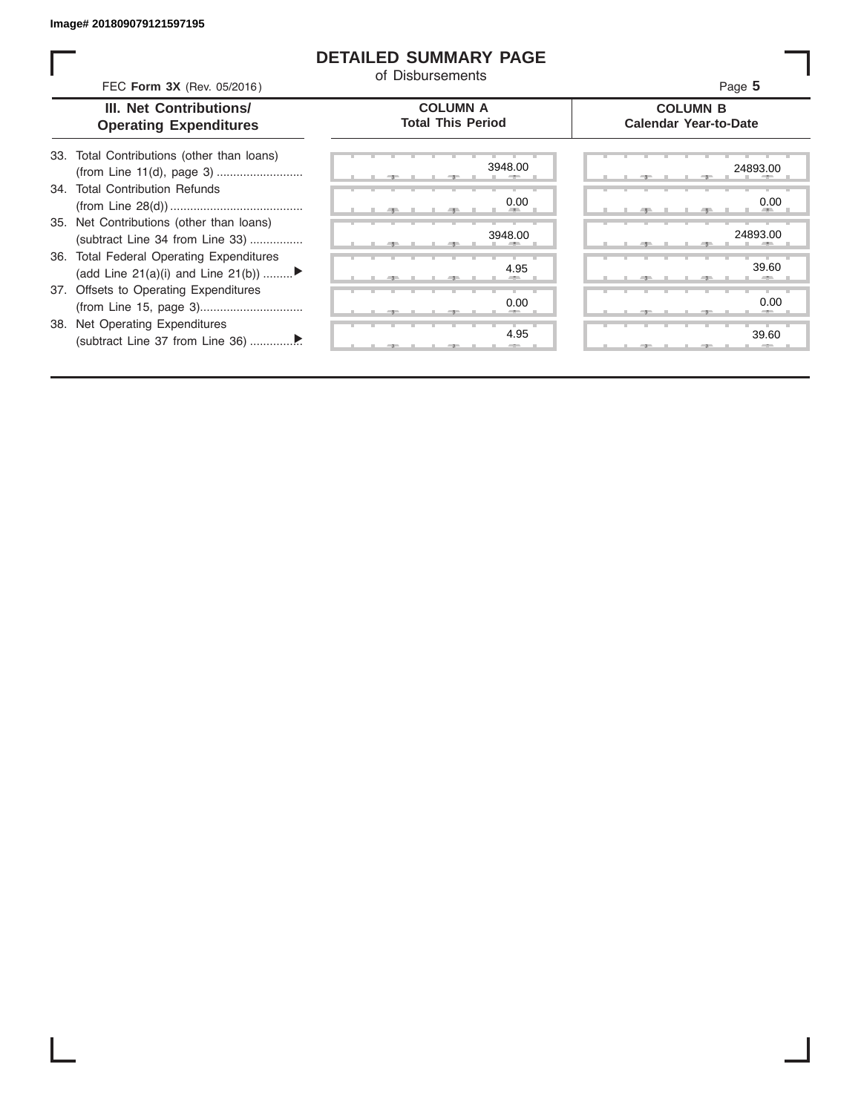I

### **DETAILED SUMMARY PAGE**

of Disbursements

|     | FEC Form 3X (Rev. 05/2016)                                                        | <u>u Disnaiseilleilis</u>                   | Page 5                                          |
|-----|-----------------------------------------------------------------------------------|---------------------------------------------|-------------------------------------------------|
|     | III. Net Contributions/<br><b>Operating Expenditures</b>                          | <b>COLUMN A</b><br><b>Total This Period</b> | <b>COLUMN B</b><br><b>Calendar Year-to-Date</b> |
| 33. | Total Contributions (other than loans)                                            | 3948.00                                     | 24893.00                                        |
| .34 | <b>Total Contribution Refunds</b>                                                 | 0.00                                        | 0.00                                            |
|     | 35. Net Contributions (other than loans)<br>(subtract Line 34 from Line 33)       | 3948.00                                     | 24893.00                                        |
| 36. | <b>Total Federal Operating Expenditures</b><br>(add Line 21(a)(i) and Line 21(b)) | 4.95                                        | 39.60                                           |
|     | 37. Offsets to Operating Expenditures                                             | 0.00                                        | 0.00                                            |
| 38. | Net Operating Expenditures                                                        | 4.95                                        | 39.60                                           |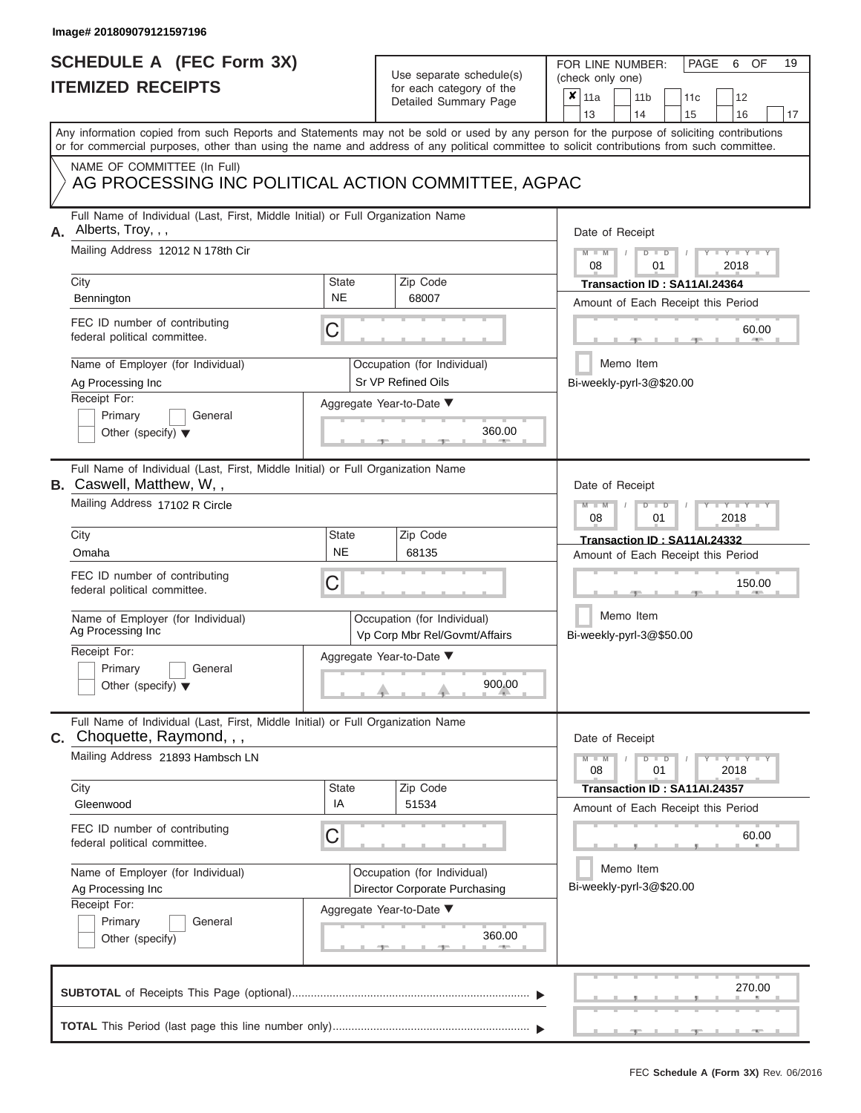## **SCHEDULE A (FEC Form 3X) ITEMIZED RECEIPTS**

| SCHEDULE A (FEC Form 3X)<br><b>ITEMIZED RECEIPTS</b>                                                                                                                                                                                                                                    |                           | Use separate schedule(s)<br>for each category of the         | 19<br>FOR LINE NUMBER:<br>PAGE<br>OF<br>6<br>(check only one)                      |
|-----------------------------------------------------------------------------------------------------------------------------------------------------------------------------------------------------------------------------------------------------------------------------------------|---------------------------|--------------------------------------------------------------|------------------------------------------------------------------------------------|
|                                                                                                                                                                                                                                                                                         |                           | Detailed Summary Page                                        | ×<br>11a<br>11 <sub>b</sub><br>12<br>11 <sub>c</sub><br>14<br>13<br>15<br>16<br>17 |
| Any information copied from such Reports and Statements may not be sold or used by any person for the purpose of soliciting contributions<br>or for commercial purposes, other than using the name and address of any political committee to solicit contributions from such committee. |                           |                                                              |                                                                                    |
| NAME OF COMMITTEE (In Full)<br>AG PROCESSING INC POLITICAL ACTION COMMITTEE, AGPAC                                                                                                                                                                                                      |                           |                                                              |                                                                                    |
| Full Name of Individual (Last, First, Middle Initial) or Full Organization Name<br>Alberts, Troy, , ,<br>А.<br>Mailing Address 12012 N 178th Cir                                                                                                                                        |                           |                                                              | Date of Receipt<br>$M = M$ /<br>$D$ $\Box$ $D$<br>Y TY T                           |
| City                                                                                                                                                                                                                                                                                    | <b>State</b><br><b>NE</b> | Zip Code<br>68007                                            | 08<br>01<br>2018<br>Transaction ID: SA11AI.24364                                   |
| Bennington<br>FEC ID number of contributing<br>federal political committee.                                                                                                                                                                                                             | С                         |                                                              | Amount of Each Receipt this Period<br>60.00                                        |
| Name of Employer (for Individual)<br>Ag Processing Inc<br>Receipt For:                                                                                                                                                                                                                  |                           | Occupation (for Individual)<br>Sr VP Refined Oils            | Memo Item<br>Bi-weekly-pyrl-3@\$20.00                                              |
| Primary<br>General<br>Other (specify) $\blacktriangledown$                                                                                                                                                                                                                              |                           | Aggregate Year-to-Date ▼<br>360.00                           |                                                                                    |
| Full Name of Individual (Last, First, Middle Initial) or Full Organization Name<br><b>B.</b> Caswell, Matthew, W,,<br>Mailing Address 17102 R Circle                                                                                                                                    |                           |                                                              | Date of Receipt<br>$M - M$<br>$D$ $D$<br>$Y - Y - Y$                               |
| City                                                                                                                                                                                                                                                                                    |                           | Zip Code                                                     | 08<br>2018<br>01                                                                   |
| Omaha                                                                                                                                                                                                                                                                                   | State<br><b>NE</b>        | 68135                                                        | Transaction ID: SA11AI.24332<br>Amount of Each Receipt this Period                 |
| FEC ID number of contributing<br>federal political committee.                                                                                                                                                                                                                           | С                         |                                                              | 150.00                                                                             |
| Name of Employer (for Individual)<br>Ag Processing Inc                                                                                                                                                                                                                                  |                           | Occupation (for Individual)<br>Vp Corp Mbr Rel/Govmt/Affairs | Memo Item<br>Bi-weekly-pyrl-3@\$50.00                                              |
| Receipt For:<br>Primary<br>General<br>Other (specify) $\blacktriangledown$                                                                                                                                                                                                              |                           | Aggregate Year-to-Date ▼<br>900.00                           |                                                                                    |
| Full Name of Individual (Last, First, Middle Initial) or Full Organization Name<br><b>C.</b> Choquette, Raymond, , ,                                                                                                                                                                    |                           |                                                              | Date of Receipt                                                                    |
| Mailing Address 21893 Hambsch LN                                                                                                                                                                                                                                                        |                           |                                                              | $D$ $\Box$ $D$<br>$+Y + Y + Y$<br>$M - M$<br>08<br>01<br>2018                      |
| City<br>Gleenwood                                                                                                                                                                                                                                                                       | <b>State</b><br>IA        | Zip Code<br>51534                                            | Transaction ID: SA11AI.24357<br>Amount of Each Receipt this Period                 |
| FEC ID number of contributing<br>federal political committee.                                                                                                                                                                                                                           | С                         |                                                              | 60.00                                                                              |
| Name of Employer (for Individual)<br>Ag Processing Inc<br>Receipt For:                                                                                                                                                                                                                  |                           | Occupation (for Individual)<br>Director Corporate Purchasing | Memo Item<br>Bi-weekly-pyrl-3@\$20.00                                              |
| Primary<br>General<br>Other (specify)                                                                                                                                                                                                                                                   |                           | Aggregate Year-to-Date ▼<br>360.00                           |                                                                                    |
|                                                                                                                                                                                                                                                                                         |                           |                                                              | 270.00                                                                             |
|                                                                                                                                                                                                                                                                                         |                           |                                                              |                                                                                    |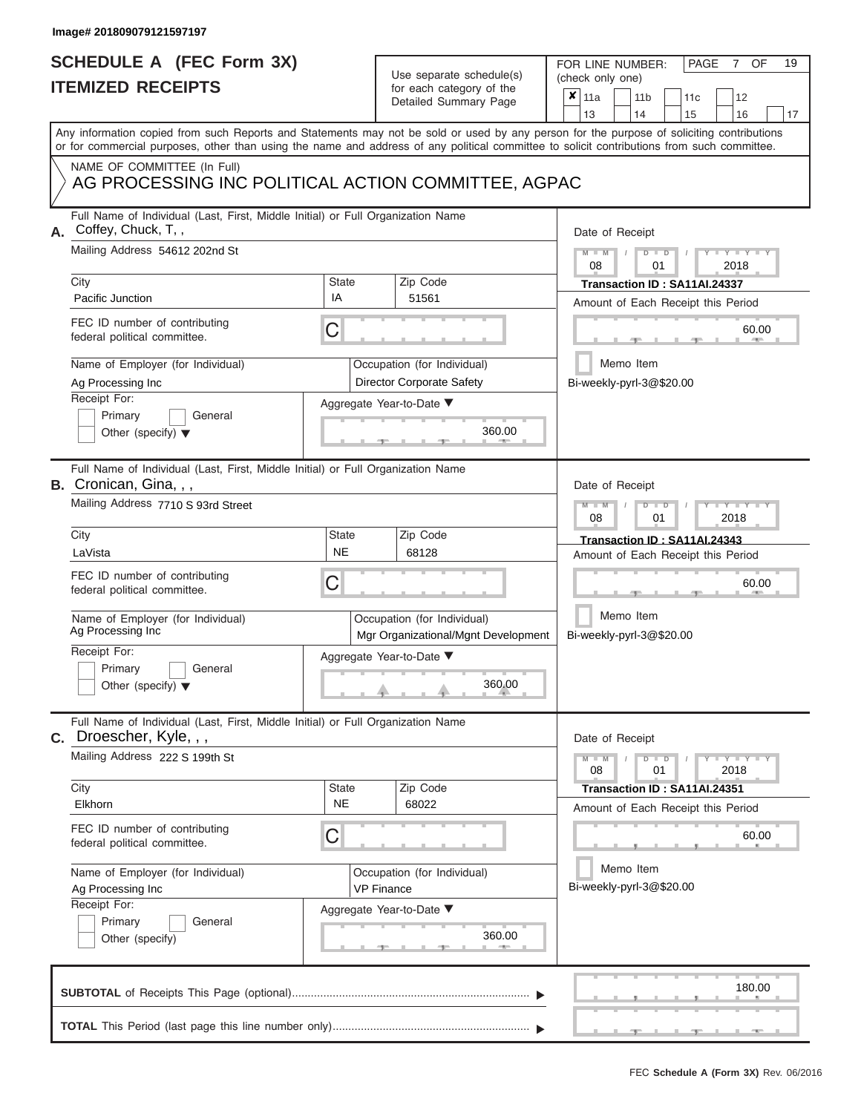## **SCHEDULE A (FEC Form 3X) ITEMIZED RECEIPTS**

## Use separate schedule(s)

| SCHEDULE A (FEC Form 3X)<br><b>ITEMIZED RECEIPTS</b>                                                                                                                                                                                                                                                                                                                               |                                | Use separate schedule(s)<br>for each category of the<br>Detailed Summary Page                                                 | 19<br>FOR LINE NUMBER:<br>PAGE<br>OF<br>7<br>(check only one)<br>$\boldsymbol{x}$<br>11a<br>11 <sub>b</sub><br>12<br>11c                                                                                |
|------------------------------------------------------------------------------------------------------------------------------------------------------------------------------------------------------------------------------------------------------------------------------------------------------------------------------------------------------------------------------------|--------------------------------|-------------------------------------------------------------------------------------------------------------------------------|---------------------------------------------------------------------------------------------------------------------------------------------------------------------------------------------------------|
| Any information copied from such Reports and Statements may not be sold or used by any person for the purpose of soliciting contributions<br>or for commercial purposes, other than using the name and address of any political committee to solicit contributions from such committee.                                                                                            |                                |                                                                                                                               | 16<br>13<br>14<br>15<br>17                                                                                                                                                                              |
| NAME OF COMMITTEE (In Full)<br>AG PROCESSING INC POLITICAL ACTION COMMITTEE, AGPAC                                                                                                                                                                                                                                                                                                 |                                |                                                                                                                               |                                                                                                                                                                                                         |
| Full Name of Individual (Last, First, Middle Initial) or Full Organization Name<br>Coffey, Chuck, T,,<br>А.<br>Mailing Address 54612 202nd St<br>City<br>Pacific Junction<br>FEC ID number of contributing<br>federal political committee.<br>Name of Employer (for Individual)<br>Ag Processing Inc<br>Receipt For:<br>Primary<br>General<br>Other (specify) $\blacktriangledown$ | <b>State</b><br>IA<br>С        | Zip Code<br>51561<br>Occupation (for Individual)<br>Director Corporate Safety<br>Aggregate Year-to-Date ▼<br>360.00           | Date of Receipt<br>$M - M$<br>$D$ $\Box$ $D$<br>$Y - Y - I$<br>08<br>01<br>2018<br>Transaction ID: SA11AI.24337<br>Amount of Each Receipt this Period<br>60.00<br>Memo Item<br>Bi-weekly-pyrl-3@\$20.00 |
| Full Name of Individual (Last, First, Middle Initial) or Full Organization Name<br><b>B.</b> Cronican, Gina, , ,<br>Mailing Address 7710 S 93rd Street<br>City<br>LaVista<br>FEC ID number of contributing<br>federal political committee.<br>Name of Employer (for Individual)<br>Ag Processing Inc<br>Receipt For:<br>Primary<br>General<br>Other (specify) $\blacktriangledown$ | <b>State</b><br><b>NE</b><br>С | Zip Code<br>68128<br>Occupation (for Individual)<br>Mgr Organizational/Mgnt Development<br>Aggregate Year-to-Date ▼<br>360.00 | Date of Receipt<br>$M - M$<br>$D$ $D$<br>Y Y I<br>2018<br>08<br>01<br>Transaction ID: SA11AI.24343<br>Amount of Each Receipt this Period<br>60.00<br>Memo Item<br>Bi-weekly-pyrl-3@\$20.00              |
| Full Name of Individual (Last, First, Middle Initial) or Full Organization Name<br>C. Droescher, Kyle, , ,<br>Mailing Address 222 S 199th St<br>City<br>Elkhorn<br>FEC ID number of contributing<br>federal political committee.<br>Name of Employer (for Individual)<br>Ag Processing Inc<br>Receipt For:<br>Primary<br>General<br>Other (specify)                                | <b>State</b><br><b>NE</b><br>С | Zip Code<br>68022<br>Occupation (for Individual)<br><b>VP Finance</b><br>Aggregate Year-to-Date ▼<br>360.00                   | Date of Receipt<br>$M - M$<br>$D$ $D$<br>$T - Y = Y + Y$<br>08<br>01<br>2018<br>Transaction ID: SA11AI.24351<br>Amount of Each Receipt this Period<br>60.00<br>Memo Item<br>Bi-weekly-pyrl-3@\$20.00    |
|                                                                                                                                                                                                                                                                                                                                                                                    |                                |                                                                                                                               | 180.00                                                                                                                                                                                                  |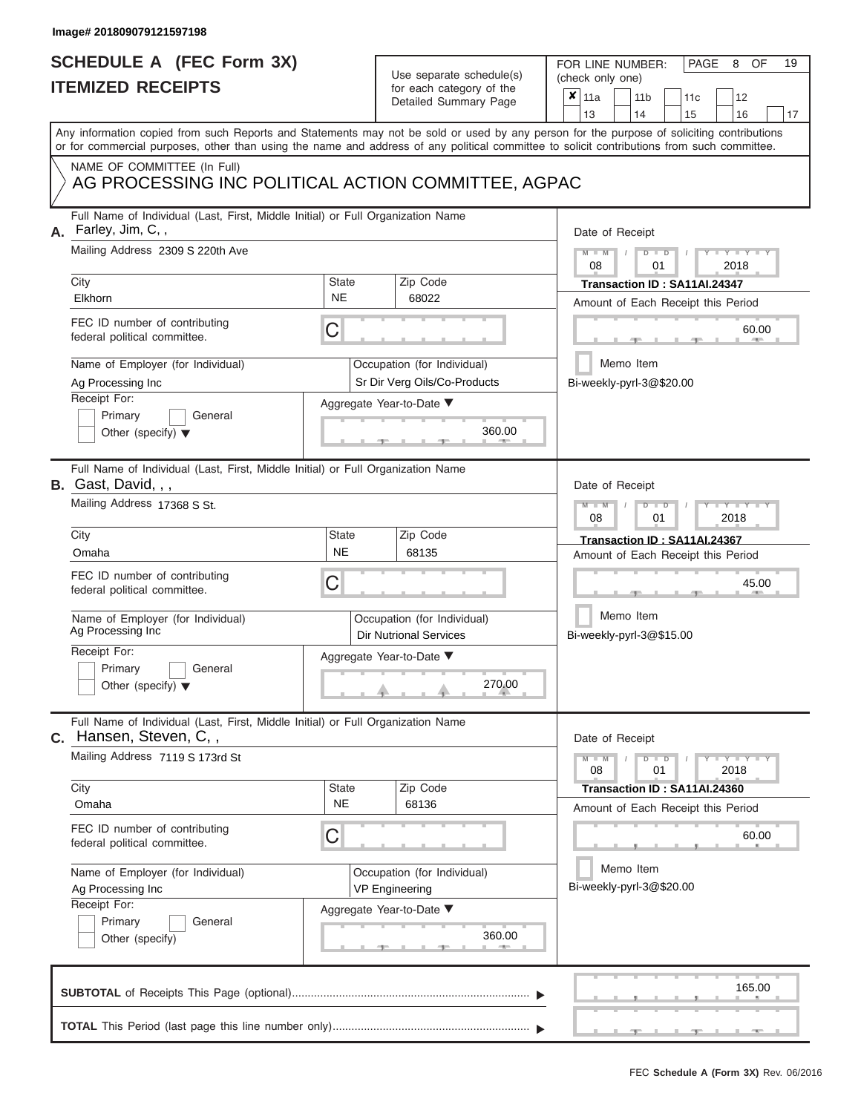# **SCHEDULE A (FEC Form 3X)**

| SCHEDULE A (FEC Form 3X)<br><b>ITEMIZED RECEIPTS</b>                                                                                          |                           | Use separate schedule(s)<br>for each category of the<br>Detailed Summary Page | 19<br>FOR LINE NUMBER:<br>PAGE<br>OF<br>8<br>(check only one)<br>$\boldsymbol{x}$<br>11a<br>11 <sub>b</sub><br>12<br>11c                                                |
|-----------------------------------------------------------------------------------------------------------------------------------------------|---------------------------|-------------------------------------------------------------------------------|-------------------------------------------------------------------------------------------------------------------------------------------------------------------------|
| or for commercial purposes, other than using the name and address of any political committee to solicit contributions from such committee.    |                           |                                                                               | 13<br>14<br>15<br>16<br>17<br>Any information copied from such Reports and Statements may not be sold or used by any person for the purpose of soliciting contributions |
| NAME OF COMMITTEE (In Full)<br>AG PROCESSING INC POLITICAL ACTION COMMITTEE, AGPAC                                                            |                           |                                                                               |                                                                                                                                                                         |
| Full Name of Individual (Last, First, Middle Initial) or Full Organization Name<br>Farley, Jim, C,,<br>А.<br>Mailing Address 2309 S 220th Ave |                           |                                                                               | Date of Receipt<br>$M - M$<br>$D$ $D$<br>Y TYT<br>08<br>2018<br>01                                                                                                      |
| City<br>Elkhorn                                                                                                                               | <b>State</b><br><b>NE</b> | Zip Code<br>68022                                                             | Transaction ID : SA11Al.24347<br>Amount of Each Receipt this Period                                                                                                     |
| FEC ID number of contributing<br>federal political committee.                                                                                 | C                         |                                                                               | 60.00                                                                                                                                                                   |
| Name of Employer (for Individual)<br>Ag Processing Inc<br>Receipt For:                                                                        |                           | Occupation (for Individual)<br>Sr Dir Verg Oils/Co-Products                   | Memo Item<br>Bi-weekly-pyrl-3@\$20.00                                                                                                                                   |
| Primary<br>General<br>Other (specify) $\blacktriangledown$                                                                                    |                           | Aggregate Year-to-Date ▼<br>360.00                                            |                                                                                                                                                                         |
| Full Name of Individual (Last, First, Middle Initial) or Full Organization Name<br><b>B.</b> Gast, David, , ,<br>Mailing Address 17368 S St.  |                           |                                                                               | Date of Receipt<br>$M - M$<br>$D$ $D$<br>$Y$ $Y$ $Y$                                                                                                                    |
| City                                                                                                                                          | <b>State</b>              | Zip Code                                                                      | 2018<br>08<br>01<br>Transaction ID: SA11AI.24367                                                                                                                        |
| Omaha<br>FEC ID number of contributing<br>federal political committee.                                                                        | <b>NE</b><br>C            | 68135                                                                         | Amount of Each Receipt this Period<br>45.00                                                                                                                             |
| Name of Employer (for Individual)<br>Ag Processing Inc                                                                                        |                           | Occupation (for Individual)<br><b>Dir Nutrional Services</b>                  | Memo Item<br>Bi-weekly-pyrl-3@\$15.00                                                                                                                                   |
| Receipt For:<br>Primary<br>General<br>Other (specify) $\blacktriangledown$                                                                    |                           | Aggregate Year-to-Date ▼<br>270.00                                            |                                                                                                                                                                         |
| Full Name of Individual (Last, First, Middle Initial) or Full Organization Name<br>C. Hansen, Steven, C,,                                     |                           |                                                                               | Date of Receipt                                                                                                                                                         |
| Mailing Address 7119 S 173rd St                                                                                                               |                           |                                                                               | $M - M$<br>$D$ $D$<br>$T - Y = T - Y$<br>08<br>01<br>2018                                                                                                               |
| City<br>Omaha                                                                                                                                 | <b>State</b><br><b>NE</b> | Zip Code<br>68136                                                             | Transaction ID: SA11AI.24360<br>Amount of Each Receipt this Period                                                                                                      |
| FEC ID number of contributing<br>federal political committee.                                                                                 | C                         |                                                                               | 60.00                                                                                                                                                                   |
| Name of Employer (for Individual)<br>Ag Processing Inc<br>Receipt For:                                                                        |                           | Occupation (for Individual)<br><b>VP Engineering</b>                          | Memo Item<br>Bi-weekly-pyrl-3@\$20.00                                                                                                                                   |
| Primary<br>General<br>Other (specify)                                                                                                         |                           | Aggregate Year-to-Date ▼<br>360.00                                            |                                                                                                                                                                         |
|                                                                                                                                               |                           |                                                                               | 165.00                                                                                                                                                                  |
|                                                                                                                                               |                           |                                                                               |                                                                                                                                                                         |

8 OF 19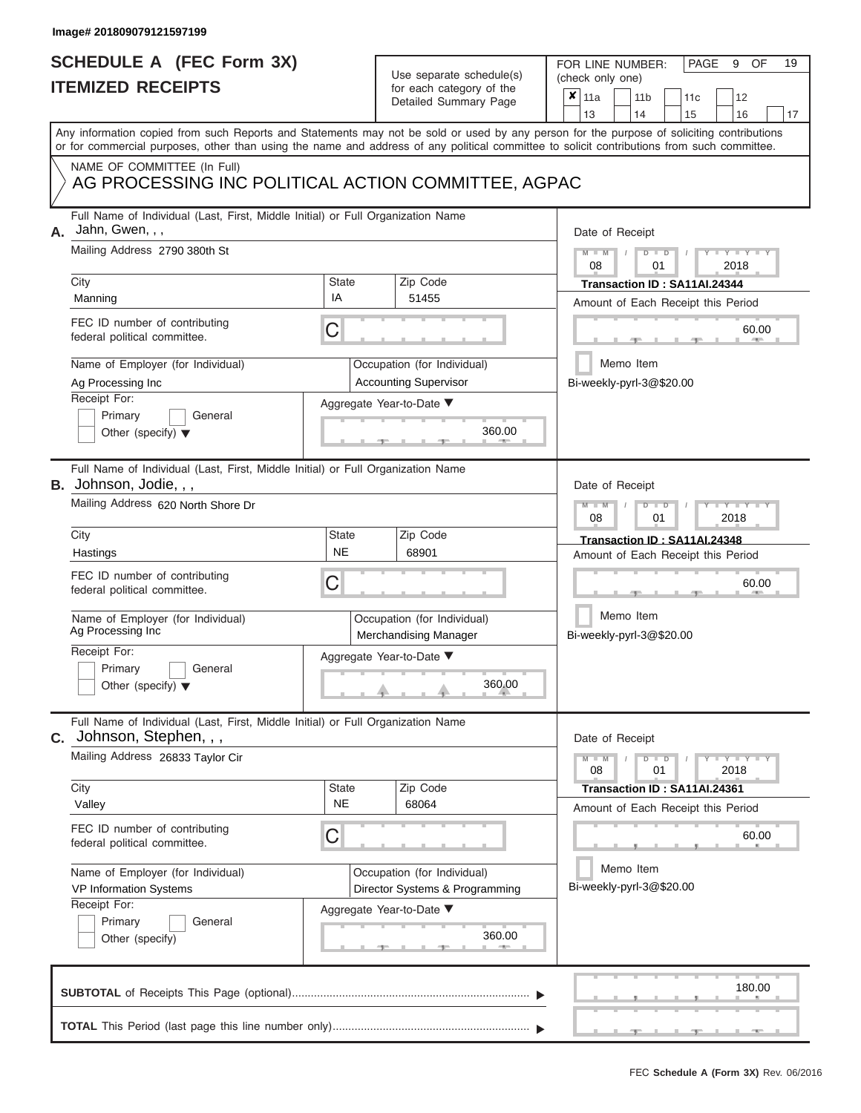# **SCHEDULE A (FEC Form 3X)**

| SCHEDULE A (FEC Form 3X)<br><b>ITEMIZED RECEIPTS</b>                                                                                                                                                                                                                                                                                                                         | Use separate schedule(s)<br>for each category of the<br>Detailed Summary Page                                                                              | 19<br>FOR LINE NUMBER:<br>PAGE<br>OF<br>9<br>(check only one)<br>$\boldsymbol{x}$<br>11a<br>11 <sub>b</sub><br>12<br>11 <sub>c</sub><br>13<br>14<br>15<br>16<br>17                                              |
|------------------------------------------------------------------------------------------------------------------------------------------------------------------------------------------------------------------------------------------------------------------------------------------------------------------------------------------------------------------------------|------------------------------------------------------------------------------------------------------------------------------------------------------------|-----------------------------------------------------------------------------------------------------------------------------------------------------------------------------------------------------------------|
| or for commercial purposes, other than using the name and address of any political committee to solicit contributions from such committee.<br>NAME OF COMMITTEE (In Full)<br>AG PROCESSING INC POLITICAL ACTION COMMITTEE, AGPAC                                                                                                                                             |                                                                                                                                                            | Any information copied from such Reports and Statements may not be sold or used by any person for the purpose of soliciting contributions                                                                       |
| Full Name of Individual (Last, First, Middle Initial) or Full Organization Name<br>Jahn, Gwen, , ,<br>А.<br>Mailing Address 2790 380th St<br>City<br>Manning<br>FEC ID number of contributing<br>federal political committee.<br>Name of Employer (for Individual)<br>Ag Processing Inc<br>Receipt For:<br>Primary<br>General<br>Other (specify) $\blacktriangledown$        | <b>State</b><br>Zip Code<br>IA<br>51455<br>C<br>Occupation (for Individual)<br><b>Accounting Supervisor</b><br>Aggregate Year-to-Date ▼<br>360.00          | Date of Receipt<br>$M - M$ /<br>$D$ $D$<br>Y TY<br>08<br>01<br>2018<br>Transaction ID: SA11AI.24344<br>Amount of Each Receipt this Period<br>60.00<br><b>ARCHITECT</b><br>Memo Item<br>Bi-weekly-pyrl-3@\$20.00 |
| Full Name of Individual (Last, First, Middle Initial) or Full Organization Name<br>B. Johnson, Jodie, , ,<br>Mailing Address 620 North Shore Dr<br>City<br>Hastings<br>FEC ID number of contributing<br>federal political committee.<br>Name of Employer (for Individual)<br>Ag Processing Inc<br>Receipt For:<br>Primary<br>General<br>Other (specify) $\blacktriangledown$ | <b>State</b><br>Zip Code<br><b>NE</b><br>68901<br>C<br>Occupation (for Individual)<br>Merchandising Manager<br>Aggregate Year-to-Date ▼<br>360.00          | Date of Receipt<br>$M - M$<br>$D$ $D$<br>$T - Y = T - Y = T$<br>2018<br>08<br>01<br>Transaction ID: SA11AI.24348<br>Amount of Each Receipt this Period<br>60.00<br>Memo Item<br>Bi-weekly-pyrl-3@\$20.00        |
| Full Name of Individual (Last, First, Middle Initial) or Full Organization Name<br>C. Johnson, Stephen, , ,<br>Mailing Address 26833 Taylor Cir<br>City<br>Valley<br>FEC ID number of contributing<br>federal political committee.<br>Name of Employer (for Individual)<br>VP Information Systems<br>Receipt For:<br>Primary<br>General<br>Other (specify)                   | Zip Code<br><b>State</b><br><b>NE</b><br>68064<br>C<br>Occupation (for Individual)<br>Director Systems & Programming<br>Aggregate Year-to-Date ▼<br>360.00 | Date of Receipt<br>$M - M$<br>$D$ $D$<br>$+Y+Y+Y$<br>01<br>2018<br>08<br>Transaction ID: SA11AI.24361<br>Amount of Each Receipt this Period<br>60.00<br>Memo Item<br>Bi-weekly-pyrl-3@\$20.00                   |
|                                                                                                                                                                                                                                                                                                                                                                              |                                                                                                                                                            | 180.00<br>$-1$                                                                                                                                                                                                  |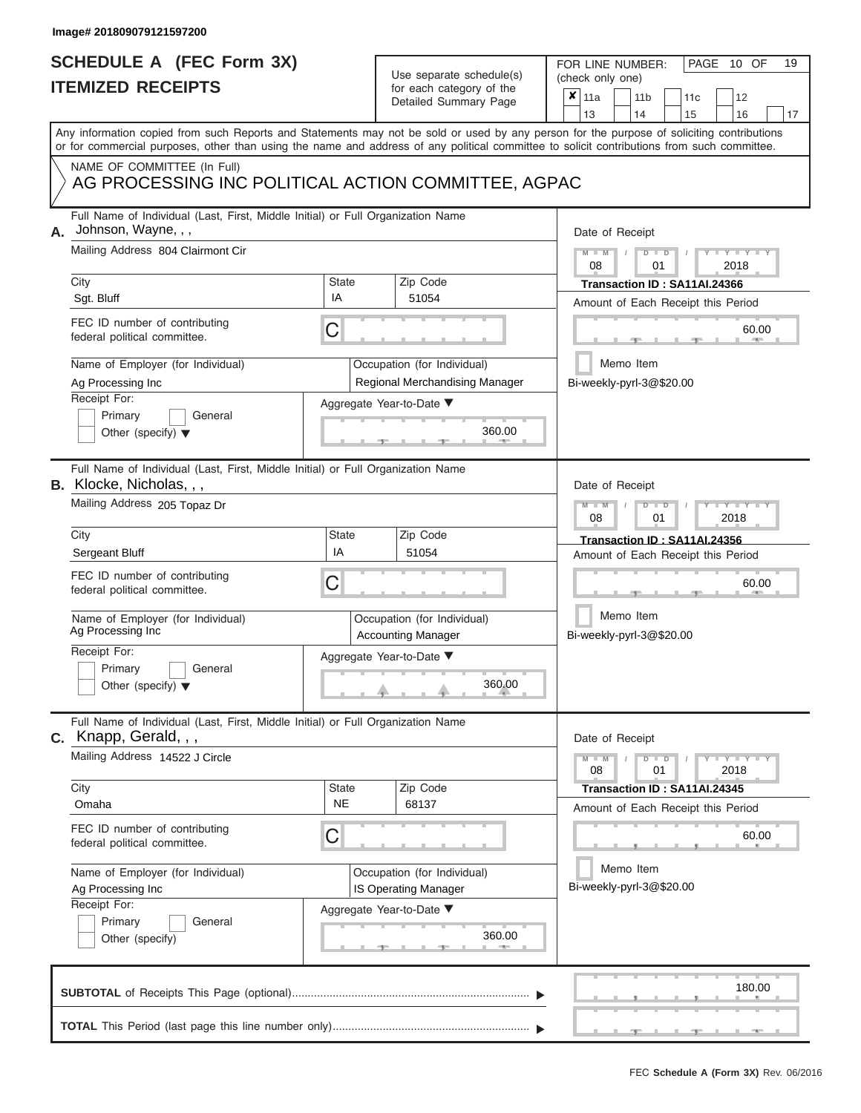# **SCHEDULE A (FEC Form 3X)**

| SCHEDULE A (FEC Form 3X)<br><b>ITEMIZED RECEIPTS</b>                                                                                                                                               |                         | Use separate schedule(s)<br>for each category of the<br>Detailed Summary Page                       | 19<br>FOR LINE NUMBER:<br>PAGE 10 OF<br>(check only one)<br>$\boldsymbol{x}$<br>11a<br>11 <sub>b</sub><br>12<br>11 <sub>c</sub><br>13<br>14                 |
|----------------------------------------------------------------------------------------------------------------------------------------------------------------------------------------------------|-------------------------|-----------------------------------------------------------------------------------------------------|-------------------------------------------------------------------------------------------------------------------------------------------------------------|
| or for commercial purposes, other than using the name and address of any political committee to solicit contributions from such committee.                                                         |                         |                                                                                                     | 15<br>16<br>17<br>Any information copied from such Reports and Statements may not be sold or used by any person for the purpose of soliciting contributions |
| NAME OF COMMITTEE (In Full)<br>AG PROCESSING INC POLITICAL ACTION COMMITTEE, AGPAC                                                                                                                 |                         |                                                                                                     |                                                                                                                                                             |
| Full Name of Individual (Last, First, Middle Initial) or Full Organization Name<br>Johnson, Wayne, , ,<br>Mailing Address 804 Clairmont Cir<br>City<br>Sgt. Bluff<br>FEC ID number of contributing | <b>State</b><br>IA<br>C | Zip Code<br>51054                                                                                   | Date of Receipt<br>$M - M$<br>$D$ $D$<br>Y TY T<br>08<br>2018<br>01<br>Transaction ID : SA11AI.24366<br>Amount of Each Receipt this Period<br>60.00         |
| federal political committee.<br>Name of Employer (for Individual)<br>Ag Processing Inc<br>Receipt For:<br>Primary<br>General<br>Other (specify) $\blacktriangledown$                               |                         | Occupation (for Individual)<br>Regional Merchandising Manager<br>Aggregate Year-to-Date ▼<br>360.00 | Memo Item<br>Bi-weekly-pyrl-3@\$20.00                                                                                                                       |
| Full Name of Individual (Last, First, Middle Initial) or Full Organization Name<br><b>B.</b> Klocke, Nicholas, , ,<br>Mailing Address 205 Topaz Dr                                                 |                         |                                                                                                     | Date of Receipt<br>$M - M$<br>$D$ $D$<br>$Y$ $Y$ $Y$<br>2018<br>08<br>01                                                                                    |
| City<br>Sergeant Bluff<br>FEC ID number of contributing<br>federal political committee.<br>Name of Employer (for Individual)<br>Ag Processing Inc<br>Receipt For:                                  | <b>State</b><br>IA<br>C | Zip Code<br>51054<br>Occupation (for Individual)<br><b>Accounting Manager</b>                       | Transaction ID: SA11AI.24356<br>Amount of Each Receipt this Period<br>60.00<br>Memo Item<br>Bi-weekly-pyrl-3@\$20.00                                        |
| Primary<br>General<br>Other (specify) $\blacktriangledown$                                                                                                                                         |                         | Aggregate Year-to-Date ▼<br>360.00                                                                  |                                                                                                                                                             |
| Full Name of Individual (Last, First, Middle Initial) or Full Organization Name<br>C. Knapp, Gerald, , ,<br>Mailing Address 14522 J Circle<br>City                                                 | <b>State</b>            | Zip Code                                                                                            | Date of Receipt<br>$M - M$<br>$D$ $D$<br>$T - Y = T - Y$<br>08<br>01<br>2018<br>Transaction ID : SA11AI.24345                                               |
| Omaha<br>FEC ID number of contributing<br>federal political committee.                                                                                                                             | <b>NE</b><br>C          | 68137                                                                                               | Amount of Each Receipt this Period<br>60.00                                                                                                                 |
| Name of Employer (for Individual)<br>Ag Processing Inc<br>Receipt For:<br>Primary<br>General<br>Other (specify)                                                                                    |                         | Occupation (for Individual)<br>IS Operating Manager<br>Aggregate Year-to-Date ▼<br>360.00           | Memo Item<br>Bi-weekly-pyrl-3@\$20.00                                                                                                                       |
|                                                                                                                                                                                                    |                         |                                                                                                     | 180.00                                                                                                                                                      |
|                                                                                                                                                                                                    |                         |                                                                                                     |                                                                                                                                                             |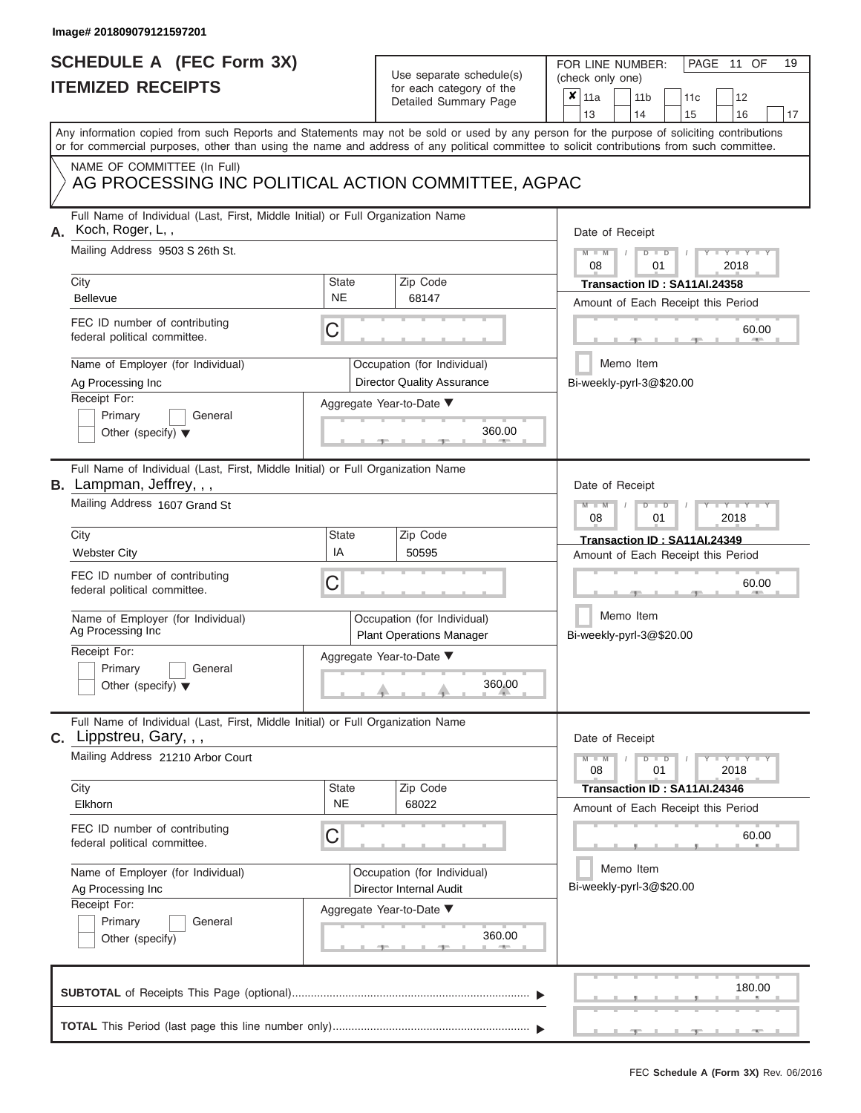# **SCHEDULE A (FEC Form 3X)**

## Use separate schedule(s)

|                                                                                                                                              | SCHEDULE A (FEC Form 3X)<br><b>ITEMIZED RECEIPTS</b>                                                                                                                                                                                                                                    |                           | Use separate schedule(s)<br>for each category of the<br>Detailed Summary Page | 19<br>FOR LINE NUMBER:<br>PAGE<br>11<br>OF<br>(check only one)<br>$\boldsymbol{x}$<br>11a<br>11 <sub>b</sub><br>12<br>11c |
|----------------------------------------------------------------------------------------------------------------------------------------------|-----------------------------------------------------------------------------------------------------------------------------------------------------------------------------------------------------------------------------------------------------------------------------------------|---------------------------|-------------------------------------------------------------------------------|---------------------------------------------------------------------------------------------------------------------------|
|                                                                                                                                              | Any information copied from such Reports and Statements may not be sold or used by any person for the purpose of soliciting contributions<br>or for commercial purposes, other than using the name and address of any political committee to solicit contributions from such committee. |                           |                                                                               | 16<br>13<br>14<br>15<br>17                                                                                                |
|                                                                                                                                              | NAME OF COMMITTEE (In Full)<br>AG PROCESSING INC POLITICAL ACTION COMMITTEE, AGPAC                                                                                                                                                                                                      |                           |                                                                               |                                                                                                                           |
| Full Name of Individual (Last, First, Middle Initial) or Full Organization Name<br>Koch, Roger, L,,<br>А.<br>Mailing Address 9503 S 26th St. |                                                                                                                                                                                                                                                                                         |                           |                                                                               | Date of Receipt<br>$M - M$<br>$D$ $D$<br>$Y - Y - I$<br>08<br>01<br>2018                                                  |
|                                                                                                                                              | City<br><b>Bellevue</b>                                                                                                                                                                                                                                                                 | <b>State</b><br><b>NE</b> | Zip Code<br>68147                                                             | Transaction ID: SA11AI.24358<br>Amount of Each Receipt this Period                                                        |
|                                                                                                                                              | FEC ID number of contributing<br>federal political committee.                                                                                                                                                                                                                           | С                         |                                                                               | 60.00                                                                                                                     |
|                                                                                                                                              | Name of Employer (for Individual)<br>Ag Processing Inc<br>Receipt For:                                                                                                                                                                                                                  |                           | Occupation (for Individual)<br><b>Director Quality Assurance</b>              | Memo Item<br>Bi-weekly-pyrl-3@\$20.00                                                                                     |
|                                                                                                                                              | Primary<br>General<br>Other (specify) $\blacktriangledown$                                                                                                                                                                                                                              |                           | Aggregate Year-to-Date ▼<br>360.00                                            |                                                                                                                           |
|                                                                                                                                              | Full Name of Individual (Last, First, Middle Initial) or Full Organization Name<br><b>B.</b> Lampman, Jeffrey, , ,<br>Mailing Address 1607 Grand St                                                                                                                                     |                           |                                                                               | Date of Receipt<br>$M - M$<br>$D$ $D$<br>Y Y I                                                                            |
|                                                                                                                                              | City                                                                                                                                                                                                                                                                                    | <b>State</b>              | Zip Code                                                                      | 2018<br>08<br>01<br>Transaction ID: SA11AI.24349                                                                          |
|                                                                                                                                              | <b>Webster City</b>                                                                                                                                                                                                                                                                     | IA                        | 50595                                                                         | Amount of Each Receipt this Period                                                                                        |
|                                                                                                                                              | FEC ID number of contributing<br>federal political committee.                                                                                                                                                                                                                           | С                         |                                                                               |                                                                                                                           |
|                                                                                                                                              | Name of Employer (for Individual)<br>Ag Processing Inc                                                                                                                                                                                                                                  |                           | Occupation (for Individual)<br><b>Plant Operations Manager</b>                | Memo Item<br>Bi-weekly-pyrl-3@\$20.00                                                                                     |
|                                                                                                                                              | Receipt For:<br>Primary<br>General                                                                                                                                                                                                                                                      |                           | Aggregate Year-to-Date ▼                                                      |                                                                                                                           |
|                                                                                                                                              | Other (specify) $\blacktriangledown$                                                                                                                                                                                                                                                    |                           | 360.00                                                                        |                                                                                                                           |
|                                                                                                                                              | Full Name of Individual (Last, First, Middle Initial) or Full Organization Name<br><b>C.</b> Lippstreu, Gary, , ,                                                                                                                                                                       |                           |                                                                               | Date of Receipt                                                                                                           |
|                                                                                                                                              | Mailing Address 21210 Arbor Court                                                                                                                                                                                                                                                       |                           |                                                                               | $M - M$<br>$D$ $D$<br>$-1$ $-1$ $-1$ $-1$ $-1$<br>08<br>01<br>2018                                                        |
|                                                                                                                                              | City<br>Elkhorn                                                                                                                                                                                                                                                                         | <b>State</b><br><b>NE</b> | Zip Code<br>68022                                                             | Transaction ID: SA11AI.24346<br>Amount of Each Receipt this Period                                                        |
|                                                                                                                                              | FEC ID number of contributing<br>federal political committee.                                                                                                                                                                                                                           | С                         |                                                                               | 60.00                                                                                                                     |
|                                                                                                                                              | Name of Employer (for Individual)<br>Ag Processing Inc                                                                                                                                                                                                                                  |                           | Occupation (for Individual)<br>Director Internal Audit                        | Memo Item<br>Bi-weekly-pyrl-3@\$20.00                                                                                     |
|                                                                                                                                              | Receipt For:<br>Primary<br>General<br>Other (specify)                                                                                                                                                                                                                                   |                           | Aggregate Year-to-Date ▼<br>360.00                                            |                                                                                                                           |
|                                                                                                                                              |                                                                                                                                                                                                                                                                                         |                           |                                                                               | 180.00                                                                                                                    |
|                                                                                                                                              |                                                                                                                                                                                                                                                                                         |                           |                                                                               | $-1$                                                                                                                      |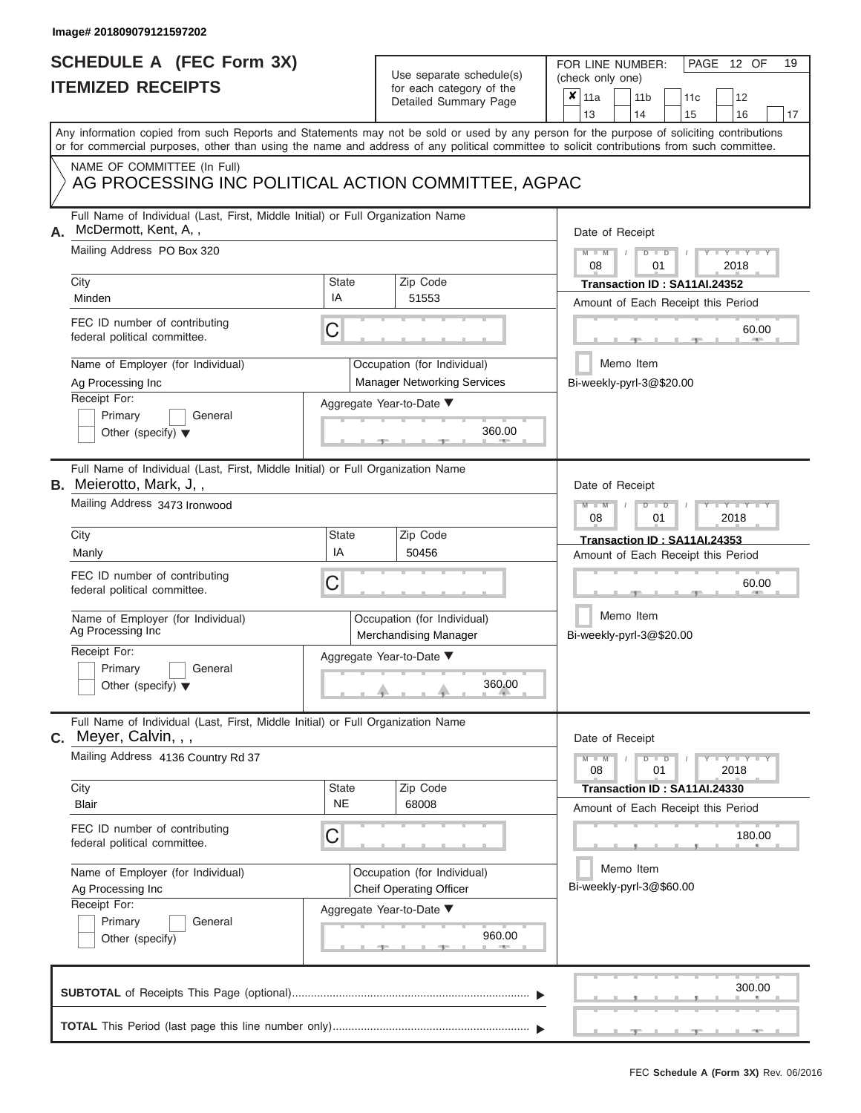# **SCHEDULE A (FEC Form 3X)**

| SCHEDULE A (FEC Form 3X)<br><b>ITEMIZED RECEIPTS</b>                                                                                                                                                                                                                                                                                                                          |                         | Use separate schedule(s)<br>for each category of the<br>Detailed Summary Page                                                | 19<br>FOR LINE NUMBER:<br>PAGE 12 OF<br>(check only one)<br>$\boldsymbol{x}$<br>11a<br>11 <sub>b</sub><br>12<br>11c<br>13<br>14<br>15<br>16<br>17                                                                                                      |
|-------------------------------------------------------------------------------------------------------------------------------------------------------------------------------------------------------------------------------------------------------------------------------------------------------------------------------------------------------------------------------|-------------------------|------------------------------------------------------------------------------------------------------------------------------|--------------------------------------------------------------------------------------------------------------------------------------------------------------------------------------------------------------------------------------------------------|
| Any information copied from such Reports and Statements may not be sold or used by any person for the purpose of soliciting contributions<br>or for commercial purposes, other than using the name and address of any political committee to solicit contributions from such committee.<br>NAME OF COMMITTEE (In Full)<br>AG PROCESSING INC POLITICAL ACTION COMMITTEE, AGPAC |                         |                                                                                                                              |                                                                                                                                                                                                                                                        |
| Full Name of Individual (Last, First, Middle Initial) or Full Organization Name<br>McDermott, Kent, A,,<br>А.<br>Mailing Address PO Box 320<br>City<br>Minden<br>FEC ID number of contributing<br>federal political committee.<br>Name of Employer (for Individual)<br>Ag Processing Inc<br>Receipt For:<br>Primary<br>General<br>Other (specify) $\blacktriangledown$        | State<br>IA<br>С        | Zip Code<br>51553<br>Occupation (for Individual)<br><b>Manager Networking Services</b><br>Aggregate Year-to-Date ▼<br>360.00 | Date of Receipt<br>$M - M$<br>$D$ $D$<br>$Y - Y - I$<br>08<br>01<br>2018<br>Transaction ID: SA11AI.24352<br>Amount of Each Receipt this Period<br>60.00<br><b>ARCHITECT</b><br>Memo Item<br>Bi-weekly-pyrl-3@\$20.00                                   |
| Full Name of Individual (Last, First, Middle Initial) or Full Organization Name<br><b>B.</b> Meierotto, Mark, J,,<br>Mailing Address 3473 Ironwood<br>City<br>Manly<br>FEC ID number of contributing<br>federal political committee.<br>Name of Employer (for Individual)<br>Ag Processing Inc<br>Receipt For:<br>Primary<br>General<br>Other (specify) $\blacktriangledown$  | State<br>IA<br>С        | Zip Code<br>50456<br>Occupation (for Individual)<br><b>Merchandising Manager</b><br>Aggregate Year-to-Date ▼<br>360.00       | Date of Receipt<br>$M - M$<br>$D$ $\Box$ $D$<br>Y Y I<br>2018<br>08<br>01<br>Transaction ID: SA11AI.24353<br>Amount of Each Receipt this Period<br>60.00<br>Memo Item<br>Bi-weekly-pyrl-3@\$20.00                                                      |
| Full Name of Individual (Last, First, Middle Initial) or Full Organization Name<br>C. Meyer, Calvin, , ,<br>Mailing Address 4136 Country Rd 37<br>City<br>Blair<br>FEC ID number of contributing<br>federal political committee.<br>Name of Employer (for Individual)<br>Ag Processing Inc<br>Receipt For:<br>Primary<br>General<br>Other (specify)                           | State<br><b>NE</b><br>С | Zip Code<br>68008<br>Occupation (for Individual)<br><b>Cheif Operating Officer</b><br>Aggregate Year-to-Date ▼<br>960.00     | Date of Receipt<br>$M - M$<br>$\mathbf{I} = \mathbf{Y} - \mathbf{I} - \mathbf{Y} - \mathbf{I}$<br>$D$ $D$<br>01<br>2018<br>08<br>Transaction ID: SA11AI.24330<br>Amount of Each Receipt this Period<br>180.00<br>Memo Item<br>Bi-weekly-pyrl-3@\$60.00 |
|                                                                                                                                                                                                                                                                                                                                                                               |                         |                                                                                                                              | 300.00                                                                                                                                                                                                                                                 |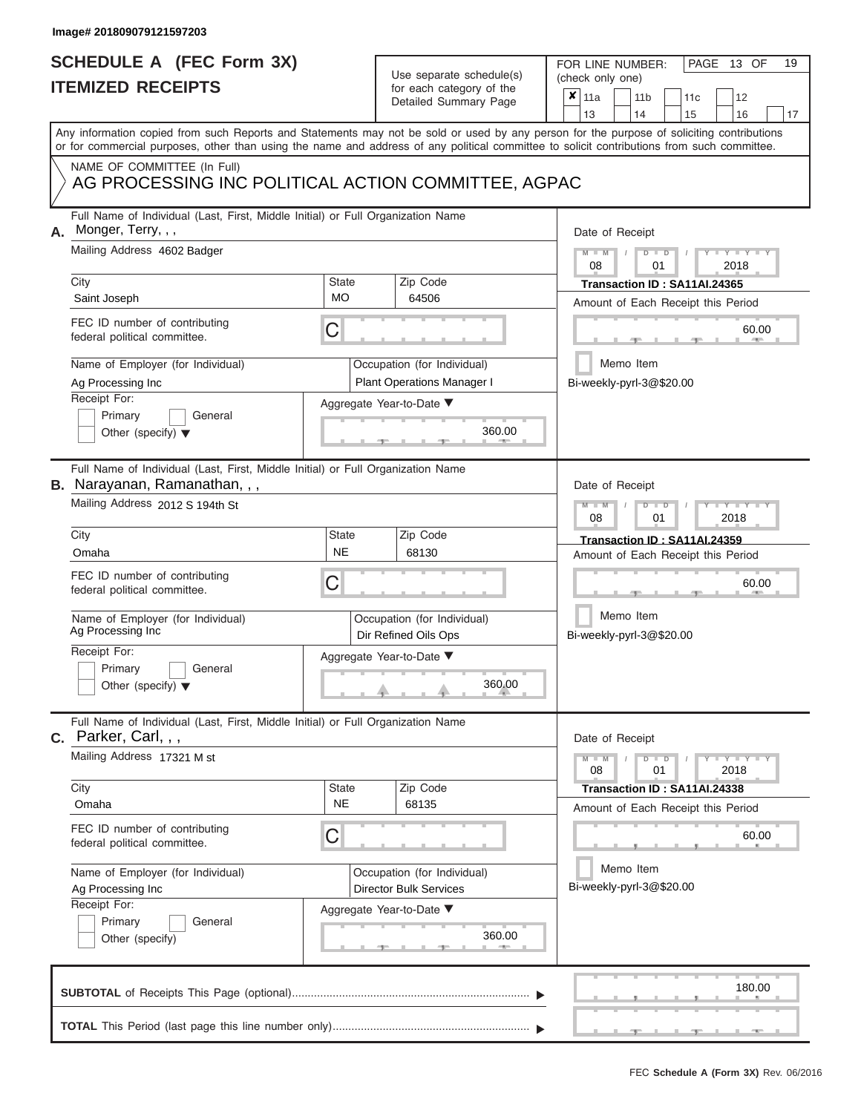# **SCHEDULE A (FEC Form 3X)**

| SCHEDULE A (FEC Form 3X)<br><b>ITEMIZED RECEIPTS</b>                                                                                                                                                                                                                                                                                                                                                          |                         | Use separate schedule(s)<br>for each category of the<br>Detailed Summary Page                                               | 19<br>FOR LINE NUMBER:<br>PAGE<br>13 OF<br>(check only one)<br>$\boldsymbol{x}$<br>11a<br>11 <sub>b</sub><br>11c<br>12<br>13<br>14<br>15<br>16<br>17                                                                                                                                    |  |  |  |  |
|---------------------------------------------------------------------------------------------------------------------------------------------------------------------------------------------------------------------------------------------------------------------------------------------------------------------------------------------------------------------------------------------------------------|-------------------------|-----------------------------------------------------------------------------------------------------------------------------|-----------------------------------------------------------------------------------------------------------------------------------------------------------------------------------------------------------------------------------------------------------------------------------------|--|--|--|--|
| NAME OF COMMITTEE (In Full)<br>AG PROCESSING INC POLITICAL ACTION COMMITTEE, AGPAC                                                                                                                                                                                                                                                                                                                            |                         |                                                                                                                             | Any information copied from such Reports and Statements may not be sold or used by any person for the purpose of soliciting contributions<br>or for commercial purposes, other than using the name and address of any political committee to solicit contributions from such committee. |  |  |  |  |
| Full Name of Individual (Last, First, Middle Initial) or Full Organization Name<br>Monger, Terry, , ,<br>А.<br>Mailing Address 4602 Badger<br>City<br><b>State</b><br><b>MO</b><br>Saint Joseph<br>FEC ID number of contributing<br>С<br>federal political committee.<br>Name of Employer (for Individual)<br>Ag Processing Inc<br>Receipt For:<br>Primary<br>General<br>Other (specify) $\blacktriangledown$ |                         | Zip Code<br>64506<br>Occupation (for Individual)<br><b>Plant Operations Manager I</b><br>Aggregate Year-to-Date ▼<br>360.00 | Date of Receipt<br>$M - M$<br>$D$ $D$<br>$Y - Y - I$<br>08<br>01<br>2018<br>Transaction ID: SA11AI.24365<br>Amount of Each Receipt this Period<br>60.00<br><b>ARCHITECT</b><br>Memo Item<br>Bi-weekly-pyrl-3@\$20.00                                                                    |  |  |  |  |
| Full Name of Individual (Last, First, Middle Initial) or Full Organization Name<br><b>B.</b> Narayanan, Ramanathan, , ,<br>Mailing Address 2012 S 194th St<br>City<br>Omaha<br>FEC ID number of contributing<br>federal political committee.<br>Name of Employer (for Individual)<br>Ag Processing Inc<br>Receipt For:<br>Primary<br>General<br>Other (specify) $\blacktriangledown$                          | State<br><b>NE</b><br>С | Zip Code<br>68130<br>Occupation (for Individual)<br>Dir Refined Oils Ops<br>Aggregate Year-to-Date ▼<br>360.00              | Date of Receipt<br>$M - M$<br>$D$ $\Box$ $D$<br>Y TY<br>2018<br>08<br>01<br>Transaction ID: SA11AI.24359<br>Amount of Each Receipt this Period<br>60.00<br>Memo Item<br>Bi-weekly-pyrl-3@\$20.00                                                                                        |  |  |  |  |
| Full Name of Individual (Last, First, Middle Initial) or Full Organization Name<br>C. Parker, Carl, , ,<br>Mailing Address 17321 M st<br>City<br>Omaha<br>FEC ID number of contributing<br>federal political committee.<br>Name of Employer (for Individual)<br>Ag Processing Inc<br>Receipt For:<br>Primary<br>General<br>Other (specify)                                                                    | State<br><b>NE</b><br>С | Zip Code<br>68135<br>Occupation (for Individual)<br><b>Director Bulk Services</b><br>Aggregate Year-to-Date ▼<br>360.00     | Date of Receipt<br>$M - M$<br>$D$ $D$<br>01<br>2018<br>08<br>Transaction ID: SA11AI.24338<br>Amount of Each Receipt this Period<br>60.00<br>Memo Item<br>Bi-weekly-pyrl-3@\$20.00                                                                                                       |  |  |  |  |
|                                                                                                                                                                                                                                                                                                                                                                                                               |                         |                                                                                                                             | 180.00                                                                                                                                                                                                                                                                                  |  |  |  |  |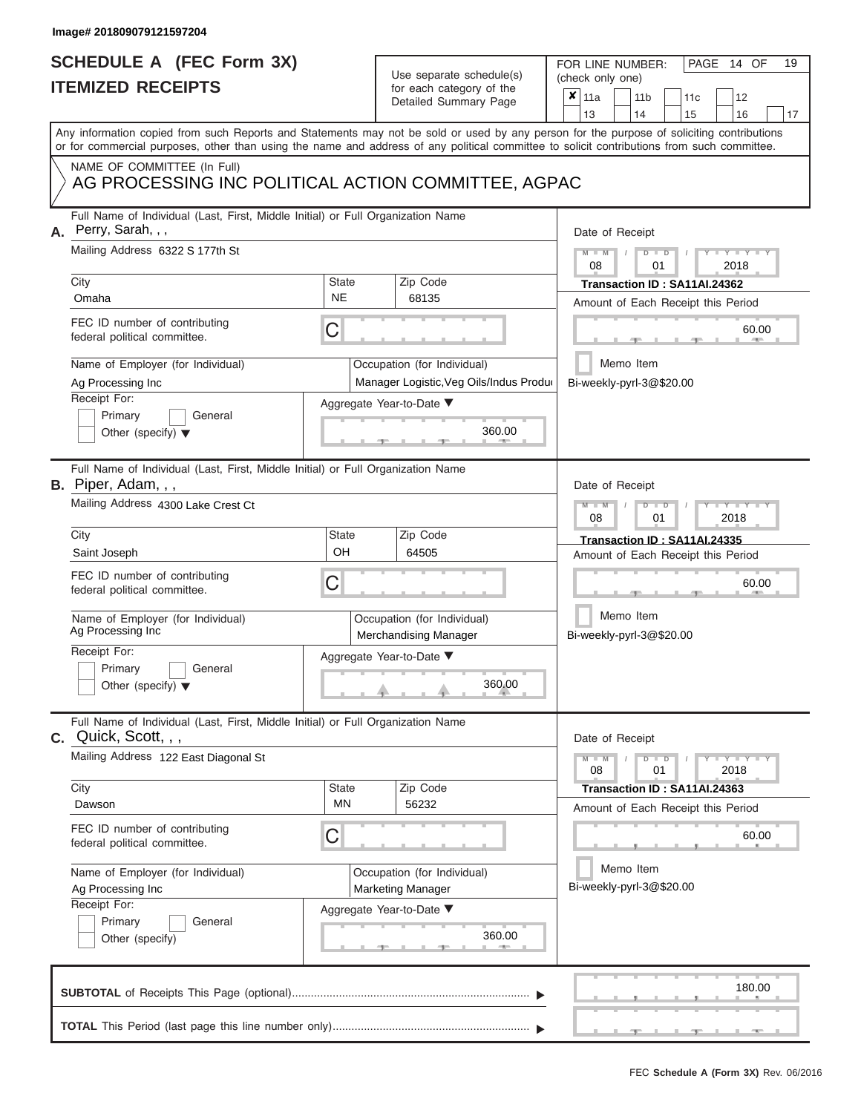## **SCHEDULE A (FEC Form 3X) ITEMIZED RECEIPTS**

| SCHEDULE A (FEC Form 3X)                                                                                                                                                                                                                                                                |                    | Use separate schedule(s)                                               | 19<br>FOR LINE NUMBER:<br>PAGE<br>14 OF<br>(check only one)                                                                                                                                                                                                                                                                                                                                                                                                                                                                          |  |  |  |  |  |
|-----------------------------------------------------------------------------------------------------------------------------------------------------------------------------------------------------------------------------------------------------------------------------------------|--------------------|------------------------------------------------------------------------|--------------------------------------------------------------------------------------------------------------------------------------------------------------------------------------------------------------------------------------------------------------------------------------------------------------------------------------------------------------------------------------------------------------------------------------------------------------------------------------------------------------------------------------|--|--|--|--|--|
| <b>ITEMIZED RECEIPTS</b>                                                                                                                                                                                                                                                                |                    | for each category of the<br>Detailed Summary Page                      | $\boldsymbol{x}$<br>11a<br>11 <sub>b</sub><br>12<br>11 <sub>c</sub><br>13<br>14<br>15<br>16<br>17                                                                                                                                                                                                                                                                                                                                                                                                                                    |  |  |  |  |  |
| Any information copied from such Reports and Statements may not be sold or used by any person for the purpose of soliciting contributions<br>or for commercial purposes, other than using the name and address of any political committee to solicit contributions from such committee. |                    |                                                                        |                                                                                                                                                                                                                                                                                                                                                                                                                                                                                                                                      |  |  |  |  |  |
| NAME OF COMMITTEE (In Full)<br>AG PROCESSING INC POLITICAL ACTION COMMITTEE, AGPAC                                                                                                                                                                                                      |                    |                                                                        |                                                                                                                                                                                                                                                                                                                                                                                                                                                                                                                                      |  |  |  |  |  |
| Full Name of Individual (Last, First, Middle Initial) or Full Organization Name<br>Perry, Sarah, , ,<br>Α.                                                                                                                                                                              |                    |                                                                        | Date of Receipt                                                                                                                                                                                                                                                                                                                                                                                                                                                                                                                      |  |  |  |  |  |
| Mailing Address 6322 S 177th St<br>City                                                                                                                                                                                                                                                 | State              | Zip Code                                                               | $M = M$ /<br>$D$ $D$<br>$Y - Y - I$<br>08<br>01<br>2018<br>Transaction ID: SA11AI.24362                                                                                                                                                                                                                                                                                                                                                                                                                                              |  |  |  |  |  |
| Omaha                                                                                                                                                                                                                                                                                   | <b>NE</b>          | 68135                                                                  | Amount of Each Receipt this Period                                                                                                                                                                                                                                                                                                                                                                                                                                                                                                   |  |  |  |  |  |
| FEC ID number of contributing<br>federal political committee.                                                                                                                                                                                                                           | C                  |                                                                        | 60.00                                                                                                                                                                                                                                                                                                                                                                                                                                                                                                                                |  |  |  |  |  |
| Name of Employer (for Individual)<br>Ag Processing Inc                                                                                                                                                                                                                                  |                    | Occupation (for Individual)<br>Manager Logistic, Veg Oils/Indus Produo | Memo Item<br>Bi-weekly-pyrl-3@\$20.00                                                                                                                                                                                                                                                                                                                                                                                                                                                                                                |  |  |  |  |  |
| Receipt For:                                                                                                                                                                                                                                                                            |                    | Aggregate Year-to-Date ▼                                               |                                                                                                                                                                                                                                                                                                                                                                                                                                                                                                                                      |  |  |  |  |  |
| Primary<br>General<br>Other (specify) $\blacktriangledown$                                                                                                                                                                                                                              |                    | 360.00<br><b>British Administration</b>                                |                                                                                                                                                                                                                                                                                                                                                                                                                                                                                                                                      |  |  |  |  |  |
| Full Name of Individual (Last, First, Middle Initial) or Full Organization Name<br>B. Piper, Adam, , ,<br>Mailing Address 4300 Lake Crest Ct                                                                                                                                            |                    |                                                                        | Date of Receipt                                                                                                                                                                                                                                                                                                                                                                                                                                                                                                                      |  |  |  |  |  |
|                                                                                                                                                                                                                                                                                         |                    |                                                                        | $M - M$<br>$D$ $D$<br>$\blacksquare \blacksquare \blacksquare \blacksquare \blacksquare \blacksquare \blacksquare \blacksquare \blacksquare \blacksquare$<br>2018<br>08<br>01                                                                                                                                                                                                                                                                                                                                                        |  |  |  |  |  |
| City                                                                                                                                                                                                                                                                                    | State              | Zip Code                                                               | Transaction ID: SA11AI.24335                                                                                                                                                                                                                                                                                                                                                                                                                                                                                                         |  |  |  |  |  |
| Saint Joseph                                                                                                                                                                                                                                                                            | OH                 | 64505                                                                  | Amount of Each Receipt this Period                                                                                                                                                                                                                                                                                                                                                                                                                                                                                                   |  |  |  |  |  |
| FEC ID number of contributing<br>federal political committee.                                                                                                                                                                                                                           | С                  |                                                                        | 60.00                                                                                                                                                                                                                                                                                                                                                                                                                                                                                                                                |  |  |  |  |  |
| Name of Employer (for Individual)<br>Ag Processing Inc                                                                                                                                                                                                                                  |                    | Occupation (for Individual)<br>Merchandising Manager                   | Memo Item<br>Bi-weekly-pyrl-3@\$20.00                                                                                                                                                                                                                                                                                                                                                                                                                                                                                                |  |  |  |  |  |
| Receipt For:                                                                                                                                                                                                                                                                            |                    | Aggregate Year-to-Date ▼                                               |                                                                                                                                                                                                                                                                                                                                                                                                                                                                                                                                      |  |  |  |  |  |
| Primary<br>General<br>Other (specify) $\blacktriangledown$                                                                                                                                                                                                                              |                    | 360.00                                                                 |                                                                                                                                                                                                                                                                                                                                                                                                                                                                                                                                      |  |  |  |  |  |
| Full Name of Individual (Last, First, Middle Initial) or Full Organization Name<br>$C.$ Quick, Scott, $, ,$                                                                                                                                                                             |                    |                                                                        | Date of Receipt                                                                                                                                                                                                                                                                                                                                                                                                                                                                                                                      |  |  |  |  |  |
| Mailing Address 122 East Diagonal St                                                                                                                                                                                                                                                    |                    |                                                                        | $M - M$<br>$\blacksquare$ $\blacksquare$ $\blacksquare$ $\blacksquare$ $\blacksquare$ $\blacksquare$ $\blacksquare$ $\blacksquare$ $\blacksquare$ $\blacksquare$ $\blacksquare$ $\blacksquare$ $\blacksquare$ $\blacksquare$ $\blacksquare$ $\blacksquare$ $\blacksquare$ $\blacksquare$ $\blacksquare$ $\blacksquare$ $\blacksquare$ $\blacksquare$ $\blacksquare$ $\blacksquare$ $\blacksquare$ $\blacksquare$ $\blacksquare$ $\blacksquare$ $\blacksquare$ $\blacksquare$ $\blacksquare$ $\blacks$<br>$D$ $D$<br>08<br>2018<br>01 |  |  |  |  |  |
| City<br>Dawson                                                                                                                                                                                                                                                                          | State<br><b>MN</b> | Zip Code<br>56232                                                      | Transaction ID: SA11AI.24363<br>Amount of Each Receipt this Period                                                                                                                                                                                                                                                                                                                                                                                                                                                                   |  |  |  |  |  |
| FEC ID number of contributing<br>federal political committee.                                                                                                                                                                                                                           | C                  |                                                                        | 60.00                                                                                                                                                                                                                                                                                                                                                                                                                                                                                                                                |  |  |  |  |  |
| Name of Employer (for Individual)<br>Ag Processing Inc                                                                                                                                                                                                                                  |                    | Occupation (for Individual)<br><b>Marketing Manager</b>                | Memo Item<br>Bi-weekly-pyrl-3@\$20.00                                                                                                                                                                                                                                                                                                                                                                                                                                                                                                |  |  |  |  |  |
| Receipt For:<br>Primary<br>General<br>Other (specify)                                                                                                                                                                                                                                   |                    | Aggregate Year-to-Date ▼<br>360.00                                     |                                                                                                                                                                                                                                                                                                                                                                                                                                                                                                                                      |  |  |  |  |  |
|                                                                                                                                                                                                                                                                                         |                    |                                                                        | 180.00                                                                                                                                                                                                                                                                                                                                                                                                                                                                                                                               |  |  |  |  |  |
|                                                                                                                                                                                                                                                                                         |                    |                                                                        |                                                                                                                                                                                                                                                                                                                                                                                                                                                                                                                                      |  |  |  |  |  |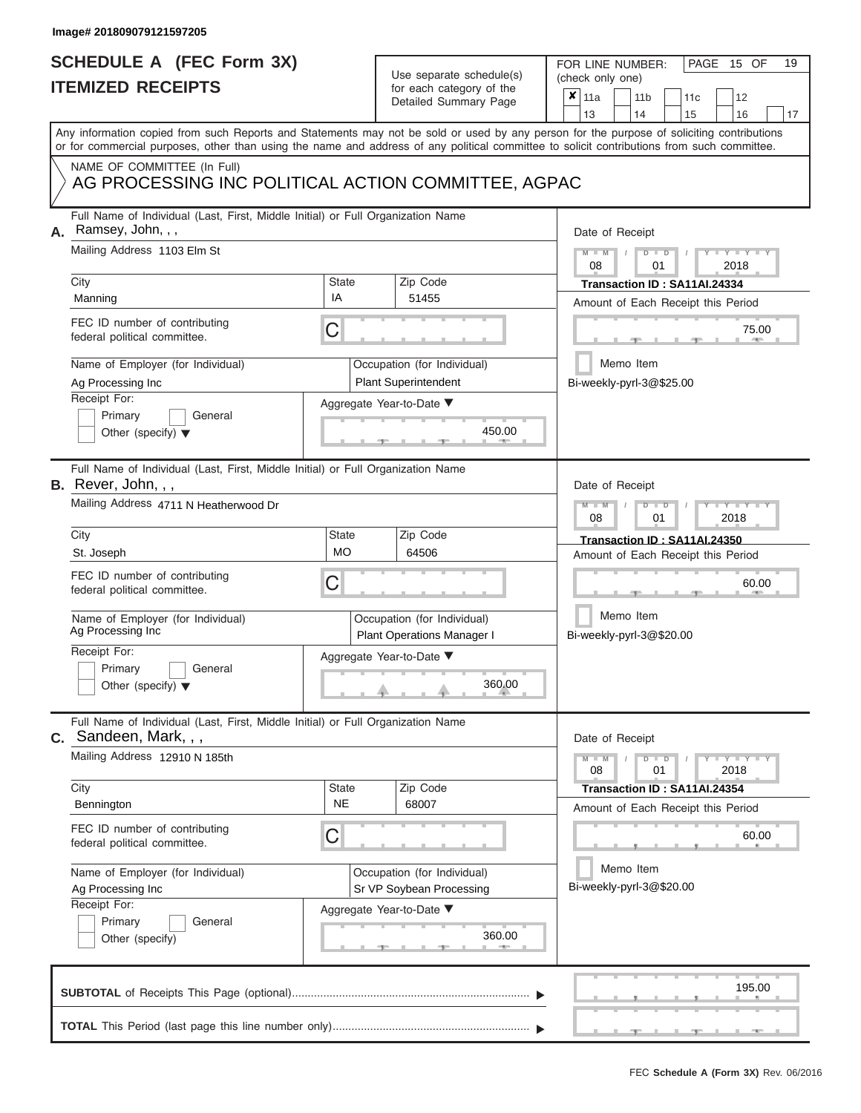# **SCHEDULE A (FEC Form 3X)**

| SCHEDULE A (FEC Form 3X)<br><b>ITEMIZED RECEIPTS</b>                                                                                            |                                                           | Use separate schedule(s)<br>for each category of the<br>Detailed Summary Page          | 19<br>FOR LINE NUMBER:<br>PAGE<br>15 OF<br>(check only one)<br>$\boldsymbol{x}$<br>11a<br>11 <sub>b</sub><br>12<br>11c                                                  |
|-------------------------------------------------------------------------------------------------------------------------------------------------|-----------------------------------------------------------|----------------------------------------------------------------------------------------|-------------------------------------------------------------------------------------------------------------------------------------------------------------------------|
| or for commercial purposes, other than using the name and address of any political committee to solicit contributions from such committee.      |                                                           |                                                                                        | 13<br>14<br>15<br>16<br>17<br>Any information copied from such Reports and Statements may not be sold or used by any person for the purpose of soliciting contributions |
| NAME OF COMMITTEE (In Full)<br>AG PROCESSING INC POLITICAL ACTION COMMITTEE, AGPAC                                                              |                                                           |                                                                                        |                                                                                                                                                                         |
| Full Name of Individual (Last, First, Middle Initial) or Full Organization Name<br>Ramsey, John, , ,<br>А.<br>Mailing Address 1103 Elm St       |                                                           |                                                                                        | Date of Receipt<br>$M - M$<br>$D$ $D$<br>$Y - Y - I$<br>08<br>01<br>2018                                                                                                |
| City<br>Manning                                                                                                                                 | <b>State</b><br>IA                                        | Zip Code<br>51455                                                                      | Transaction ID: SA11AI.24334<br>Amount of Each Receipt this Period                                                                                                      |
| FEC ID number of contributing<br>federal political committee.                                                                                   | C                                                         |                                                                                        | 75.00                                                                                                                                                                   |
| Name of Employer (for Individual)<br>Ag Processing Inc<br>Receipt For:<br>General                                                               |                                                           | Occupation (for Individual)<br><b>Plant Superintendent</b><br>Aggregate Year-to-Date ▼ | Memo Item<br>Bi-weekly-pyrl-3@\$25.00                                                                                                                                   |
| Primary<br>Other (specify) $\blacktriangledown$                                                                                                 |                                                           | 450.00                                                                                 |                                                                                                                                                                         |
| Full Name of Individual (Last, First, Middle Initial) or Full Organization Name<br>B. Rever, John, , ,<br>Mailing Address 4711 N Heatherwood Dr |                                                           |                                                                                        | Date of Receipt<br>$M - M$<br>$D$ $\Box$ $D$<br>Y Y I                                                                                                                   |
| City                                                                                                                                            | State                                                     | Zip Code                                                                               | 2018<br>08<br>01<br>Transaction ID: SA11AI.24350                                                                                                                        |
| St. Joseph<br>FEC ID number of contributing<br>federal political committee.                                                                     | <b>MO</b><br>С                                            | 64506                                                                                  | Amount of Each Receipt this Period<br>60.00                                                                                                                             |
| Name of Employer (for Individual)<br>Ag Processing Inc                                                                                          | Occupation (for Individual)<br>Plant Operations Manager I |                                                                                        | Memo Item<br>Bi-weekly-pyrl-3@\$20.00                                                                                                                                   |
| Receipt For:<br>Primary<br>General<br>Other (specify) $\blacktriangledown$                                                                      |                                                           | Aggregate Year-to-Date ▼<br>360.00                                                     |                                                                                                                                                                         |
| Full Name of Individual (Last, First, Middle Initial) or Full Organization Name<br><b>C.</b> Sandeen, Mark, , ,                                 |                                                           |                                                                                        | Date of Receipt                                                                                                                                                         |
| Mailing Address 12910 N 185th                                                                                                                   |                                                           |                                                                                        | $M - M$<br>$D$ $D$<br>$\mathbf{I} = \mathbf{Y} - \mathbf{I} - \mathbf{Y} - \mathbf{I}$<br>01<br>2018<br>08                                                              |
| City<br>Bennington                                                                                                                              | State<br><b>NE</b>                                        | Zip Code<br>68007                                                                      | Transaction ID: SA11AI.24354<br>Amount of Each Receipt this Period                                                                                                      |
| FEC ID number of contributing<br>federal political committee.                                                                                   | С                                                         |                                                                                        | 60.00                                                                                                                                                                   |
| Name of Employer (for Individual)<br>Ag Processing Inc                                                                                          |                                                           | Occupation (for Individual)<br>Sr VP Soybean Processing                                | Memo Item<br>Bi-weekly-pyrl-3@\$20.00                                                                                                                                   |
| Receipt For:<br>Primary<br>General<br>Other (specify)                                                                                           |                                                           | Aggregate Year-to-Date ▼<br>360.00                                                     |                                                                                                                                                                         |
|                                                                                                                                                 |                                                           |                                                                                        | 195.00                                                                                                                                                                  |
|                                                                                                                                                 |                                                           |                                                                                        |                                                                                                                                                                         |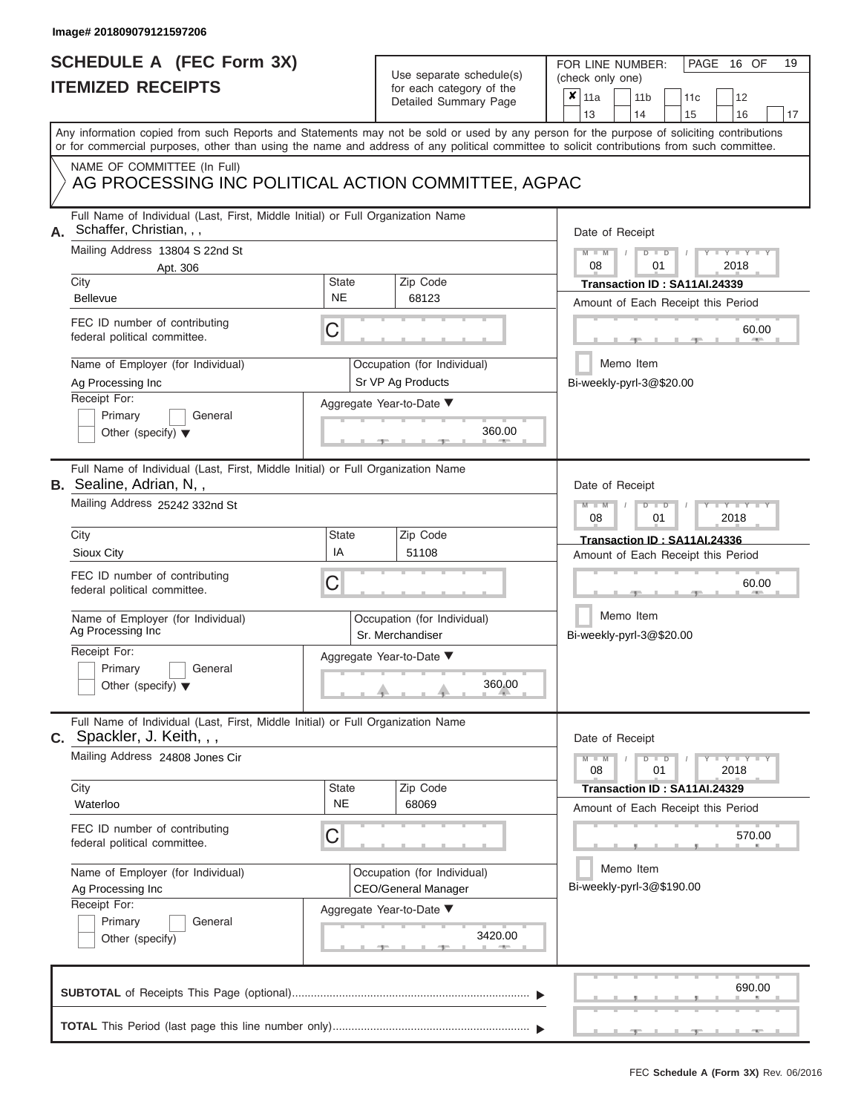### **SCHEDULE A (FEC Form 3X) ITEMIZED RECEIPTS**

## Use separate schedule(s)

FOR LINE NUMBER:<br>(check only one)

PAGE 16 OF 19

| IIEMIZED KEUEIPIS<br>for each category of the<br>Detailed Summary Page |                                                                                                                                                                                                                                                                                                                                                                                    |                                |  |                                                                                                            |                            | $\pmb{\times}$                                                                                                                                                                                   | 11a<br>13                                                 |  | 11 <sub>b</sub><br>14                                                   | 11c<br>15                                                                                       |      | 12<br>16              | 17 |
|------------------------------------------------------------------------|------------------------------------------------------------------------------------------------------------------------------------------------------------------------------------------------------------------------------------------------------------------------------------------------------------------------------------------------------------------------------------|--------------------------------|--|------------------------------------------------------------------------------------------------------------|----------------------------|--------------------------------------------------------------------------------------------------------------------------------------------------------------------------------------------------|-----------------------------------------------------------|--|-------------------------------------------------------------------------|-------------------------------------------------------------------------------------------------|------|-----------------------|----|
|                                                                        | Any information copied from such Reports and Statements may not be sold or used by any person for the purpose of soliciting contributions<br>or for commercial purposes, other than using the name and address of any political committee to solicit contributions from such committee.                                                                                            |                                |  |                                                                                                            |                            |                                                                                                                                                                                                  |                                                           |  |                                                                         |                                                                                                 |      |                       |    |
|                                                                        | NAME OF COMMITTEE (In Full)<br>AG PROCESSING INC POLITICAL ACTION COMMITTEE, AGPAC                                                                                                                                                                                                                                                                                                 |                                |  |                                                                                                            |                            |                                                                                                                                                                                                  |                                                           |  |                                                                         |                                                                                                 |      |                       |    |
| А.                                                                     | Full Name of Individual (Last, First, Middle Initial) or Full Organization Name<br>Schaffer, Christian, , ,<br>Mailing Address 13804 S 22nd St<br>Apt. 306<br>City<br><b>Bellevue</b><br>FEC ID number of contributing<br>federal political committee.<br>Name of Employer (for Individual)<br>Ag Processing Inc<br>Receipt For:                                                   | <b>State</b><br><b>NE</b><br>C |  | Zip Code<br>68123<br>Occupation (for Individual)<br>Sr VP Ag Products<br>Aggregate Year-to-Date ▼          |                            | Date of Receipt<br>$M - M$<br>$Y - Y - I$<br>$D$ $D$<br>08<br>01<br>2018<br>Transaction ID: SA11AI.24339<br>Amount of Each Receipt this Period<br>60.00<br>Memo Item<br>Bi-weekly-pyrl-3@\$20.00 |                                                           |  |                                                                         |                                                                                                 |      |                       |    |
|                                                                        | Primary<br>General<br>Other (specify) $\blacktriangledown$                                                                                                                                                                                                                                                                                                                         |                                |  |                                                                                                            | 360.00                     |                                                                                                                                                                                                  |                                                           |  |                                                                         |                                                                                                 |      |                       |    |
|                                                                        | Full Name of Individual (Last, First, Middle Initial) or Full Organization Name<br><b>B.</b> Sealine, Adrian, N,,<br>Mailing Address 25242 332nd St<br>City<br>Sioux City<br>FEC ID number of contributing<br>federal political committee.<br>Name of Employer (for Individual)<br>Ag Processing Inc<br>Receipt For:<br>Primary<br>General<br>Other (specify) $\blacktriangledown$ | <b>State</b><br>IA<br>C        |  | Zip Code<br>51108<br>Occupation (for Individual)<br>Sr. Merchandiser<br>Aggregate Year-to-Date ▼           | 360.00                     |                                                                                                                                                                                                  | Date of Receipt<br>$M - M$<br>08                          |  | $\overline{D}$<br>$\Box$<br>01<br>Memo Item<br>Bi-weekly-pyrl-3@\$20.00 | Transaction ID: SA11AI.24336<br>Amount of Each Receipt this Period                              | 2018 | $Y = Y$<br>60.00      |    |
|                                                                        | Full Name of Individual (Last, First, Middle Initial) or Full Organization Name<br>$c.$ Spackler, J. Keith, , ,<br>Mailing Address 24808 Jones Cir<br>City<br>Waterloo<br>FEC ID number of contributing<br>federal political committee.<br>Name of Employer (for Individual)<br>Ag Processing Inc<br>Receipt For:<br>Primary<br>General<br>Other (specify)                         | <b>State</b><br><b>NE</b><br>С |  | Zip Code<br>68069<br>Occupation (for Individual)<br><b>CEO/General Manager</b><br>Aggregate Year-to-Date ▼ | 3420.00<br><b>ALCOHOL:</b> |                                                                                                                                                                                                  | Date of Receipt<br>$M -$<br>$\overline{\mathbf{M}}$<br>08 |  | $D$ $\Box$ $D$<br>01<br>Memo Item                                       | Transaction ID: SA11AI.24329<br>Amount of Each Receipt this Period<br>Bi-weekly-pyrl-3@\$190.00 | 2018 | $Y = Y = Y$<br>570.00 |    |
|                                                                        |                                                                                                                                                                                                                                                                                                                                                                                    |                                |  |                                                                                                            |                            |                                                                                                                                                                                                  |                                                           |  |                                                                         |                                                                                                 |      | 690.00                |    |
|                                                                        |                                                                                                                                                                                                                                                                                                                                                                                    |                                |  |                                                                                                            |                            |                                                                                                                                                                                                  |                                                           |  |                                                                         |                                                                                                 |      |                       |    |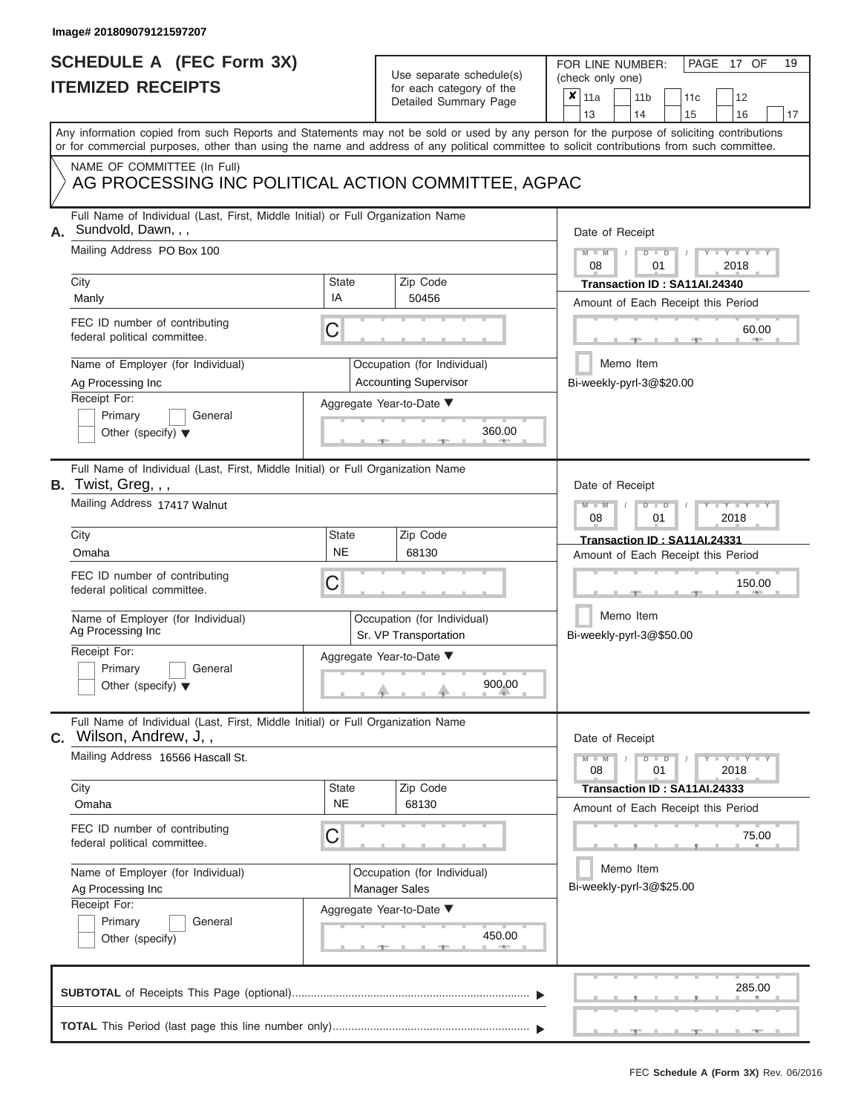# **SCHEDULE A (FEC Form 3X)**

## Use separate schedule(s)

| SCHEDULE A (FEC Form 3X)<br><b>ITEMIZED RECEIPTS</b> |                                                                                                                                                                                                                                                                                         |                                                   | Use separate schedule(s)                                                                            | 19<br>FOR LINE NUMBER:<br>PAGE 17 OF<br>(check only one)                                                                                                |
|------------------------------------------------------|-----------------------------------------------------------------------------------------------------------------------------------------------------------------------------------------------------------------------------------------------------------------------------------------|---------------------------------------------------|-----------------------------------------------------------------------------------------------------|---------------------------------------------------------------------------------------------------------------------------------------------------------|
|                                                      |                                                                                                                                                                                                                                                                                         | for each category of the<br>Detailed Summary Page | $\boldsymbol{x}$<br>11a<br>11 <sub>b</sub><br>12<br>11 <sub>c</sub><br>13<br>14<br>15<br>16<br>17   |                                                                                                                                                         |
|                                                      | Any information copied from such Reports and Statements may not be sold or used by any person for the purpose of soliciting contributions<br>or for commercial purposes, other than using the name and address of any political committee to solicit contributions from such committee. |                                                   |                                                                                                     |                                                                                                                                                         |
|                                                      | NAME OF COMMITTEE (In Full)<br>AG PROCESSING INC POLITICAL ACTION COMMITTEE, AGPAC                                                                                                                                                                                                      |                                                   |                                                                                                     |                                                                                                                                                         |
| А.                                                   | Full Name of Individual (Last, First, Middle Initial) or Full Organization Name<br>Sundvold, Dawn, , ,<br>Mailing Address PO Box 100<br>City<br>IA<br>Manly<br>FEC ID number of contributing<br>С<br>federal political committee.                                                       | State                                             | Zip Code<br>50456                                                                                   | Date of Receipt<br>$M - M$<br>$D$ $D$<br>$Y - Y - I$<br>08<br>01<br>2018<br>Transaction ID: SA11AI.24340<br>Amount of Each Receipt this Period<br>60.00 |
|                                                      | Name of Employer (for Individual)<br>Ag Processing Inc<br>Receipt For:<br>Primary<br>General<br>Other (specify) $\blacktriangledown$                                                                                                                                                    |                                                   | Occupation (for Individual)<br><b>Accounting Supervisor</b><br>Aggregate Year-to-Date ▼<br>360.00   | Memo Item<br>Bi-weekly-pyrl-3@\$20.00                                                                                                                   |
|                                                      | Full Name of Individual (Last, First, Middle Initial) or Full Organization Name<br>B. Twist, Greg, , ,<br>Mailing Address 17417 Walnut<br>City                                                                                                                                          | <b>State</b>                                      | Zip Code                                                                                            | Date of Receipt<br>$M - M$<br>$D$ $D$<br>Y TYT<br>08<br>2018<br>01<br>Transaction ID: SA11AI.24331                                                      |
|                                                      | Omaha<br>FEC ID number of contributing<br>С<br>federal political committee.<br>Name of Employer (for Individual)<br>Ag Processing Inc<br>Receipt For:<br>Primary<br>General<br>Other (specify) $\blacktriangledown$                                                                     | <b>NE</b>                                         | 68130<br>Occupation (for Individual)<br>Sr. VP Transportation<br>Aggregate Year-to-Date ▼<br>900.00 | Amount of Each Receipt this Period<br>150.00<br>Memo Item<br>Bi-weekly-pyrl-3@\$50.00                                                                   |
|                                                      | Full Name of Individual (Last, First, Middle Initial) or Full Organization Name<br><b>C.</b> Wilson, Andrew, J,,<br>Mailing Address 16566 Hascall St.                                                                                                                                   |                                                   | Zip Code                                                                                            | Date of Receipt<br>$M - M$<br>$T - Y = Y - T Y$<br>$D$ $D$<br>01<br>2018<br>08                                                                          |
|                                                      | City<br>Omaha<br>FEC ID number of contributing<br>federal political committee.<br>Name of Employer (for Individual)                                                                                                                                                                     | <b>State</b><br><b>NE</b><br>С                    |                                                                                                     | Transaction ID: SA11AI.24333<br>Amount of Each Receipt this Period<br>75.00<br>Memo Item                                                                |
|                                                      | Ag Processing Inc<br>Receipt For:<br>Primary<br>General<br>Other (specify)                                                                                                                                                                                                              |                                                   | Occupation (for Individual)<br><b>Manager Sales</b><br>Aggregate Year-to-Date ▼<br>450.00           | Bi-weekly-pyrl-3@\$25.00                                                                                                                                |
|                                                      |                                                                                                                                                                                                                                                                                         |                                                   |                                                                                                     | 285.00                                                                                                                                                  |
|                                                      |                                                                                                                                                                                                                                                                                         |                                                   |                                                                                                     |                                                                                                                                                         |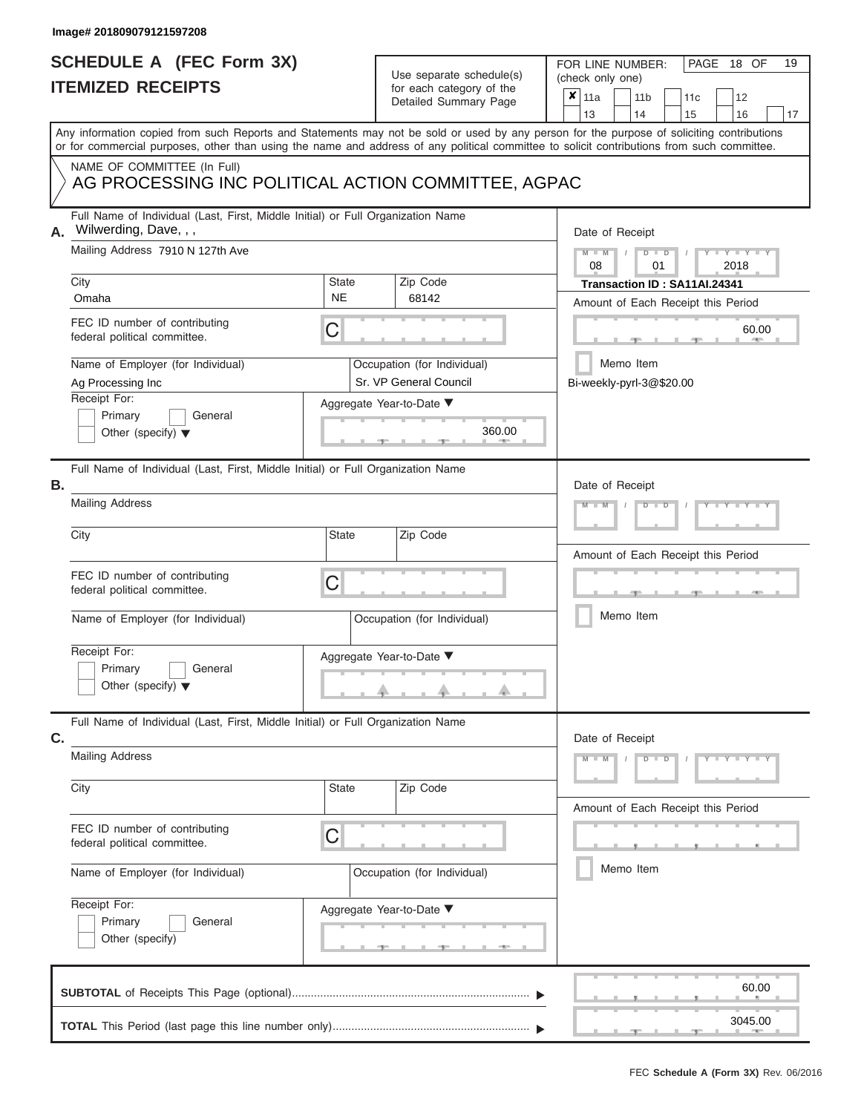## **SCHEDULE A (FEC Form 3X) ITEMIZED RECEIPTS**

## Use separate schedule(s)

| SCHEDULE A (FEC Form 3X)                                                                                       |              | Use separate schedule(s)                              | 19<br>FOR LINE NUMBER:<br>PAGE<br>18 OF                                                                                                                                                                                                                                                 |  |  |  |  |  |
|----------------------------------------------------------------------------------------------------------------|--------------|-------------------------------------------------------|-----------------------------------------------------------------------------------------------------------------------------------------------------------------------------------------------------------------------------------------------------------------------------------------|--|--|--|--|--|
| <b>ITEMIZED RECEIPTS</b>                                                                                       |              | for each category of the                              | (check only one)<br>$\boldsymbol{x}$                                                                                                                                                                                                                                                    |  |  |  |  |  |
|                                                                                                                |              | Detailed Summary Page                                 | 11a<br>11 <sub>b</sub><br>12<br>11 <sub>c</sub><br>13<br>14<br>15<br>16<br>17                                                                                                                                                                                                           |  |  |  |  |  |
|                                                                                                                |              |                                                       | Any information copied from such Reports and Statements may not be sold or used by any person for the purpose of soliciting contributions<br>or for commercial purposes, other than using the name and address of any political committee to solicit contributions from such committee. |  |  |  |  |  |
| NAME OF COMMITTEE (In Full)<br>AG PROCESSING INC POLITICAL ACTION COMMITTEE, AGPAC                             |              |                                                       |                                                                                                                                                                                                                                                                                         |  |  |  |  |  |
| Full Name of Individual (Last, First, Middle Initial) or Full Organization Name<br>Wilwerding, Dave, , ,<br>А. |              |                                                       | Date of Receipt                                                                                                                                                                                                                                                                         |  |  |  |  |  |
| Mailing Address 7910 N 127th Ave<br>City                                                                       | State        | Zip Code                                              | $M - M$ /<br>$D$ $\Box$ $D$<br>Y TY T<br>08<br>01<br>2018<br>Transaction ID: SA11AI.24341                                                                                                                                                                                               |  |  |  |  |  |
| Omaha                                                                                                          | <b>NE</b>    | 68142                                                 | Amount of Each Receipt this Period                                                                                                                                                                                                                                                      |  |  |  |  |  |
| FEC ID number of contributing<br>federal political committee.                                                  | С            |                                                       | 60.00<br><b>ALLEY</b>                                                                                                                                                                                                                                                                   |  |  |  |  |  |
| Name of Employer (for Individual)<br>Ag Processing Inc                                                         |              | Occupation (for Individual)<br>Sr. VP General Council | Memo Item<br>Bi-weekly-pyrl-3@\$20.00                                                                                                                                                                                                                                                   |  |  |  |  |  |
| Receipt For:<br>Primary<br>General                                                                             |              | Aggregate Year-to-Date ▼                              |                                                                                                                                                                                                                                                                                         |  |  |  |  |  |
| Other (specify) $\blacktriangledown$                                                                           |              | 360.00                                                |                                                                                                                                                                                                                                                                                         |  |  |  |  |  |
| Full Name of Individual (Last, First, Middle Initial) or Full Organization Name<br>В.                          |              |                                                       | Date of Receipt                                                                                                                                                                                                                                                                         |  |  |  |  |  |
| <b>Mailing Address</b>                                                                                         |              |                                                       | $M - M$<br>$D$ $\Box$ $D$                                                                                                                                                                                                                                                               |  |  |  |  |  |
| City                                                                                                           | <b>State</b> | Zip Code                                              | Amount of Each Receipt this Period                                                                                                                                                                                                                                                      |  |  |  |  |  |
| FEC ID number of contributing<br>federal political committee.                                                  | C            |                                                       |                                                                                                                                                                                                                                                                                         |  |  |  |  |  |
| Name of Employer (for Individual)                                                                              |              | Occupation (for Individual)                           | Memo Item                                                                                                                                                                                                                                                                               |  |  |  |  |  |
| Receipt For:                                                                                                   |              | Aggregate Year-to-Date ▼                              |                                                                                                                                                                                                                                                                                         |  |  |  |  |  |
| Primary<br>General<br>Other (specify) $\blacktriangledown$                                                     |              | A.                                                    |                                                                                                                                                                                                                                                                                         |  |  |  |  |  |
| Full Name of Individual (Last, First, Middle Initial) or Full Organization Name<br>C.                          |              |                                                       | Date of Receipt                                                                                                                                                                                                                                                                         |  |  |  |  |  |
| <b>Mailing Address</b>                                                                                         |              |                                                       | $M - M$<br>$D$ $\Box$ $D$<br>$Y = Y = Y + Y$                                                                                                                                                                                                                                            |  |  |  |  |  |
| City                                                                                                           | State        | Zip Code                                              | Amount of Each Receipt this Period                                                                                                                                                                                                                                                      |  |  |  |  |  |
| FEC ID number of contributing<br>federal political committee.                                                  | С            |                                                       |                                                                                                                                                                                                                                                                                         |  |  |  |  |  |
| Name of Employer (for Individual)                                                                              |              | Occupation (for Individual)                           | Memo Item                                                                                                                                                                                                                                                                               |  |  |  |  |  |
| Receipt For:<br>Primary<br>General                                                                             |              | Aggregate Year-to-Date ▼                              |                                                                                                                                                                                                                                                                                         |  |  |  |  |  |
| Other (specify)                                                                                                |              | _________________                                     |                                                                                                                                                                                                                                                                                         |  |  |  |  |  |
|                                                                                                                |              |                                                       | 60.00                                                                                                                                                                                                                                                                                   |  |  |  |  |  |
|                                                                                                                |              |                                                       | 3045.00<br>$-1$                                                                                                                                                                                                                                                                         |  |  |  |  |  |